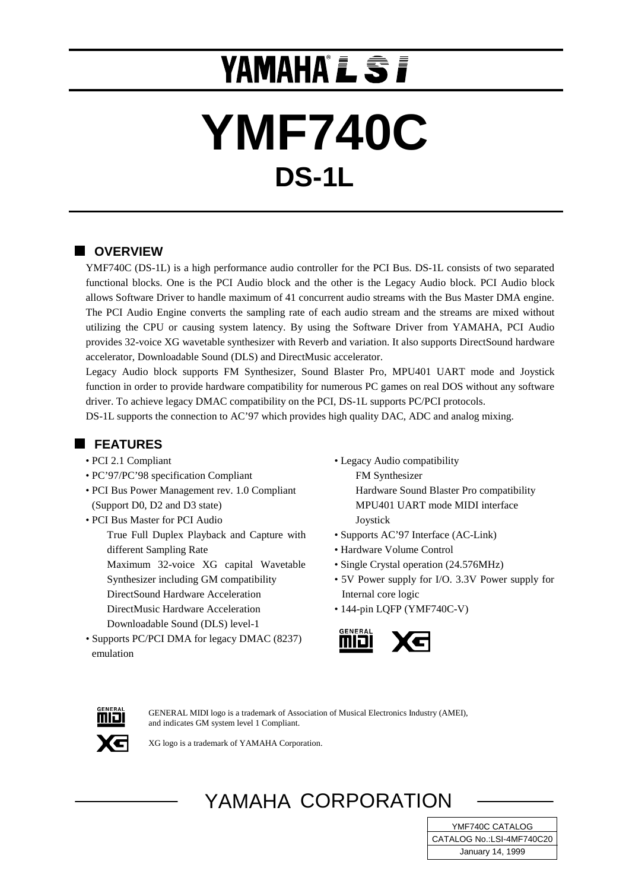# **YAMAHA L S I**

# **YMF740C DS-1L**

# **N** OVERVIEW

YMF740C (DS-1L) is a high performance audio controller for the PCI Bus. DS-1L consists of two separated functional blocks. One is the PCI Audio block and the other is the Legacy Audio block. PCI Audio block allows Software Driver to handle maximum of 41 concurrent audio streams with the Bus Master DMA engine. The PCI Audio Engine converts the sampling rate of each audio stream and the streams are mixed without utilizing the CPU or causing system latency. By using the Software Driver from YAMAHA, PCI Audio provides 32-voice XG wavetable synthesizer with Reverb and variation. It also supports DirectSound hardware accelerator, Downloadable Sound (DLS) and DirectMusic accelerator.

Legacy Audio block supports FM Synthesizer, Sound Blaster Pro, MPU401 UART mode and Joystick function in order to provide hardware compatibility for numerous PC games on real DOS without any software driver. To achieve legacy DMAC compatibility on the PCI, DS-1L supports PC/PCI protocols.

DS-1L supports the connection to AC'97 which provides high quality DAC, ADC and analog mixing.

## **FEATURES**

- PCI 2.1 Compliant
- PC'97/PC'98 specification Compliant
- PCI Bus Power Management rev. 1.0 Compliant (Support D0, D2 and D3 state)
- PCI Bus Master for PCI Audio True Full Duplex Playback and Capture with
	- different Sampling Rate Maximum 32-voice XG capital Wavetable Synthesizer including GM compatibility DirectSound Hardware Acceleration DirectMusic Hardware Acceleration
	- Downloadable Sound (DLS) level-1
- Supports PC/PCI DMA for legacy DMAC (8237) emulation
- Legacy Audio compatibility FM Synthesizer Hardware Sound Blaster Pro compatibility MPU401 UART mode MIDI interface **J**oystick
- Supports AC'97 Interface (AC-Link)
- Hardware Volume Control
- Single Crystal operation (24.576MHz)
- 5V Power supply for I/O. 3.3V Power supply for Internal core logic
- 144-pin LQFP (YMF740C-V)





GENERAL MIDI logo is a trademark of Association of Musical Electronics Industry (AMEI), and indicates GM system level 1 Compliant.

XG logo is a trademark of YAMAHA Corporation.

# YAMAHA CORPORATION

**September 21, 1998** January 14, 1999 YMF740C CATALOG CATALOG No.:LSI-4MF740C20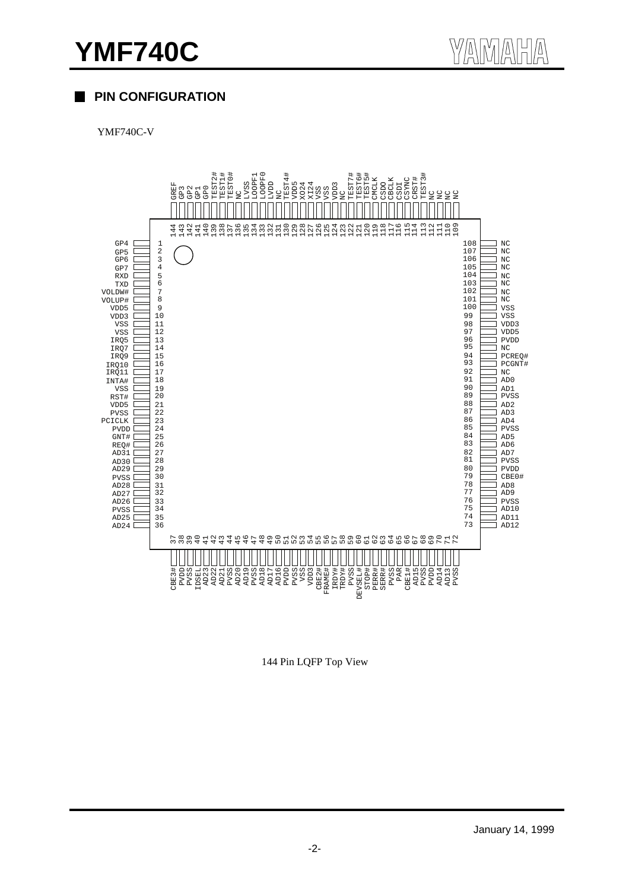# **PIN CONFIGURATION**

YMF740C-V



144 Pin LQFP Top View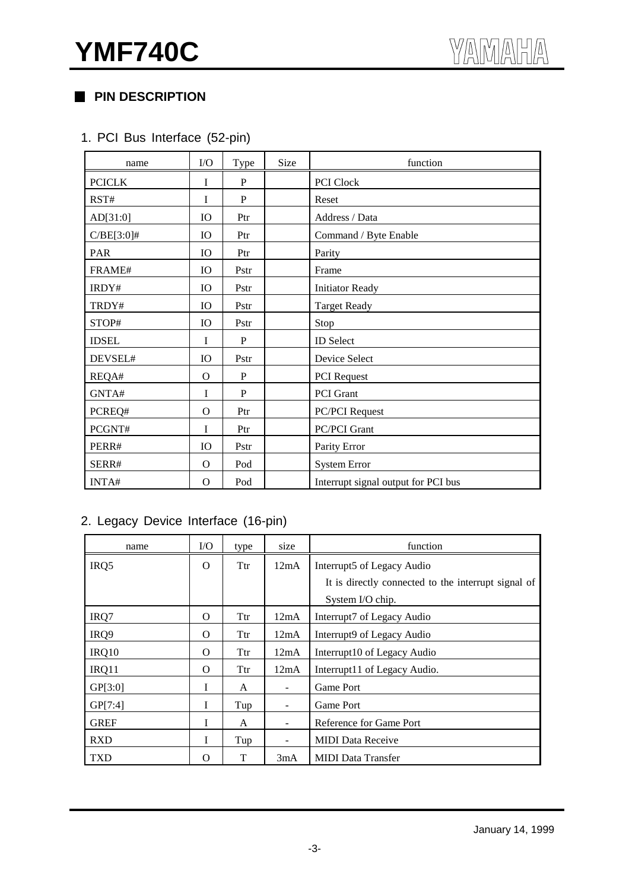# **PIN DESCRIPTION**

# 1. PCI Bus Interface (52-pin)

| name          | ${\rm I/O}$ | Type        | Size | function                            |  |  |  |  |  |
|---------------|-------------|-------------|------|-------------------------------------|--|--|--|--|--|
| <b>PCICLK</b> | I           | P           |      | PCI Clock                           |  |  |  |  |  |
| RST#          | $\mathbf I$ | P           |      | Reset                               |  |  |  |  |  |
| AD[31:0]      | IO          | Ptr         |      | Address / Data                      |  |  |  |  |  |
| $C/BE[3:0]$ # | IO          | Ptr         |      | Command / Byte Enable               |  |  |  |  |  |
| PAR           | IO          | Ptr         |      | Parity                              |  |  |  |  |  |
| FRAME#        | IO          | Pstr        |      | Frame                               |  |  |  |  |  |
| IRDY#         | IO          | Pstr        |      | <b>Initiator Ready</b>              |  |  |  |  |  |
| TRDY#         | IO          | Pstr        |      | <b>Target Ready</b>                 |  |  |  |  |  |
| STOP#         | IO          | Pstr        |      | Stop                                |  |  |  |  |  |
| <b>IDSEL</b>  | I           | $\mathbf P$ |      | <b>ID</b> Select                    |  |  |  |  |  |
| DEVSEL#       | IO          | Pstr        |      | Device Select                       |  |  |  |  |  |
| REQA#         | O           | P           |      | <b>PCI</b> Request                  |  |  |  |  |  |
| GNTA#         | I           | P           |      | PCI Grant                           |  |  |  |  |  |
| PCREQ#        | $\Omega$    | Ptr         |      | <b>PC/PCI</b> Request               |  |  |  |  |  |
| PCGNT#        | I           | Ptr         |      | <b>PC/PCI Grant</b>                 |  |  |  |  |  |
| PERR#         | IO          | Pstr        |      | Parity Error                        |  |  |  |  |  |
| SERR#         | $\Omega$    | Pod         |      | <b>System Error</b>                 |  |  |  |  |  |
| INTA#         | $\Omega$    | Pod         |      | Interrupt signal output for PCI bus |  |  |  |  |  |

# 2. Legacy Device Interface (16-pin)

| name        | I/O      | type | size | function                                            |
|-------------|----------|------|------|-----------------------------------------------------|
| IRQ5        | $\Omega$ | Ttr  | 12mA | Interrupt5 of Legacy Audio                          |
|             |          |      |      | It is directly connected to the interrupt signal of |
|             |          |      |      | System I/O chip.                                    |
| IRQ7        | $\Omega$ | Ttr  | 12mA | Interrupt7 of Legacy Audio                          |
| IRQ9        | $\Omega$ | Ttr  | 12mA | Interrupt9 of Legacy Audio                          |
| IRQ10       | $\Omega$ | Ttr  | 12mA | Interrupt10 of Legacy Audio                         |
| IRQ11       | $\Omega$ | Ttr  | 12mA | Interrupt11 of Legacy Audio.                        |
| GP[3:0]     | I        | A    |      | Game Port                                           |
| GP[7:4]     | I        | Tup  |      | Game Port                                           |
| <b>GREF</b> | I        | A    |      | Reference for Game Port                             |
| <b>RXD</b>  | I        | Tup  |      | <b>MIDI</b> Data Receive                            |
| <b>TXD</b>  | Ω        | T    | 3mA  | <b>MIDI</b> Data Transfer                           |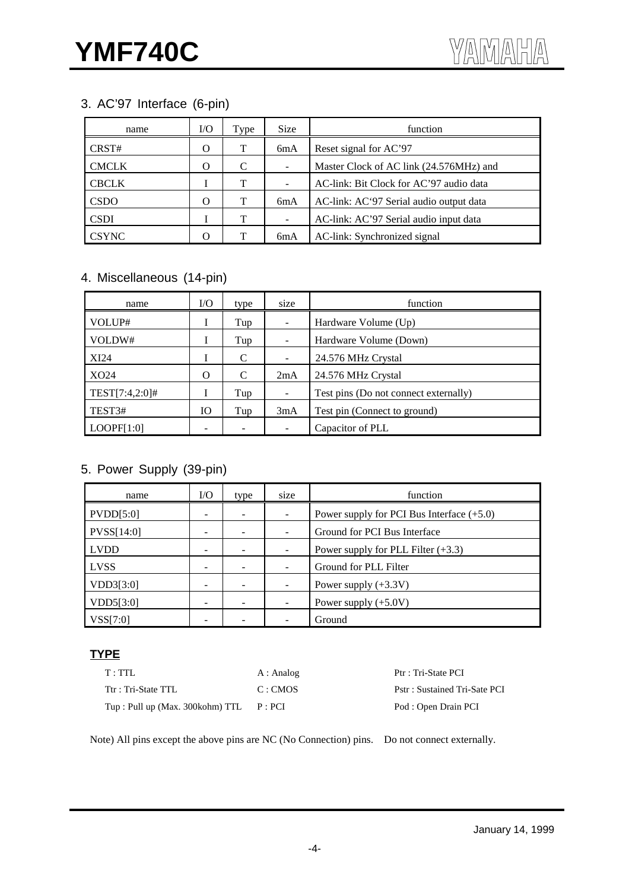# 3. AC'97 Interface (6-pin)

| name         | I/Ο | Type | <b>Size</b> | function                                |
|--------------|-----|------|-------------|-----------------------------------------|
| CRST#        | O   | Т    | 6mA         | Reset signal for AC'97                  |
| <b>CMCLK</b> | O   | C    |             | Master Clock of AC link (24.576MHz) and |
| <b>CBCLK</b> |     | т    |             | AC-link: Bit Clock for AC'97 audio data |
| <b>CSDO</b>  | O   | т    | 6mA         | AC-link: AC'97 Serial audio output data |
| <b>CSDI</b>  |     | т    |             | AC-link: AC'97 Serial audio input data  |
| <b>CSYNC</b> | O   |      | 6mA         | AC-link: Synchronized signal            |

# 4. Miscellaneous (14-pin)

| name           | $\rm LO$  | type | size | function                              |
|----------------|-----------|------|------|---------------------------------------|
| VOLUP#         | 1         | Tup  |      | Hardware Volume (Up)                  |
| VOLDW#         |           | Tup  |      | Hardware Volume (Down)                |
| XI24           |           | C    | -    | 24.576 MHz Crystal                    |
| XO24           | O         | C    | 2mA  | 24.576 MHz Crystal                    |
| TEST[7:4,2:0]# |           | Tup  |      | Test pins (Do not connect externally) |
| TEST3#         | <b>IO</b> | Tup  | 3mA  | Test pin (Connect to ground)          |
| LOOPF[1:0]     |           |      |      | Capacitor of PLL                      |

# 5. Power Supply (39-pin)

| name        | $\rm LO$ | type | size                  | function                                    |  |  |  |  |
|-------------|----------|------|-----------------------|---------------------------------------------|--|--|--|--|
| PVDD[5:0]   |          |      |                       | Power supply for PCI Bus Interface $(+5.0)$ |  |  |  |  |
| PVSS[14:0]  |          |      |                       | Ground for PCI Bus Interface                |  |  |  |  |
| <b>LVDD</b> |          |      |                       | Power supply for PLL Filter $(+3.3)$        |  |  |  |  |
| <b>LVSS</b> |          |      | Ground for PLL Filter |                                             |  |  |  |  |
| VDD3[3:0]   |          |      |                       | Power supply $(+3.3V)$                      |  |  |  |  |
| VDD5[3:0]   |          |      |                       | Power supply $(+5.0V)$                      |  |  |  |  |
| VSS[7:0]    |          |      |                       | Ground                                      |  |  |  |  |

# **TYPE**

| T:TTL                           | A : Analog | Ptr : Tri-State PCI          |
|---------------------------------|------------|------------------------------|
| Ttr: Tri-State TTL              | C:CMOS     | Pstr: Sustained Tri-Sate PCI |
| Tup: Pull up (Max. 300kohm) TTL | P:PCI      | Pod : Open Drain PCI         |

Note) All pins except the above pins are NC (No Connection) pins. Do not connect externally.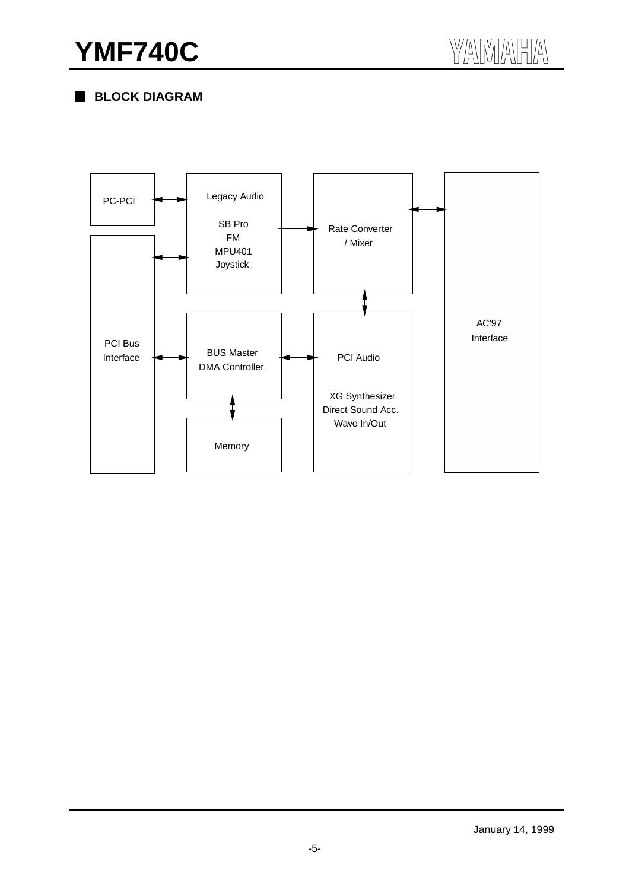# **YMF740C**

 **BLOCK DIAGRAM**

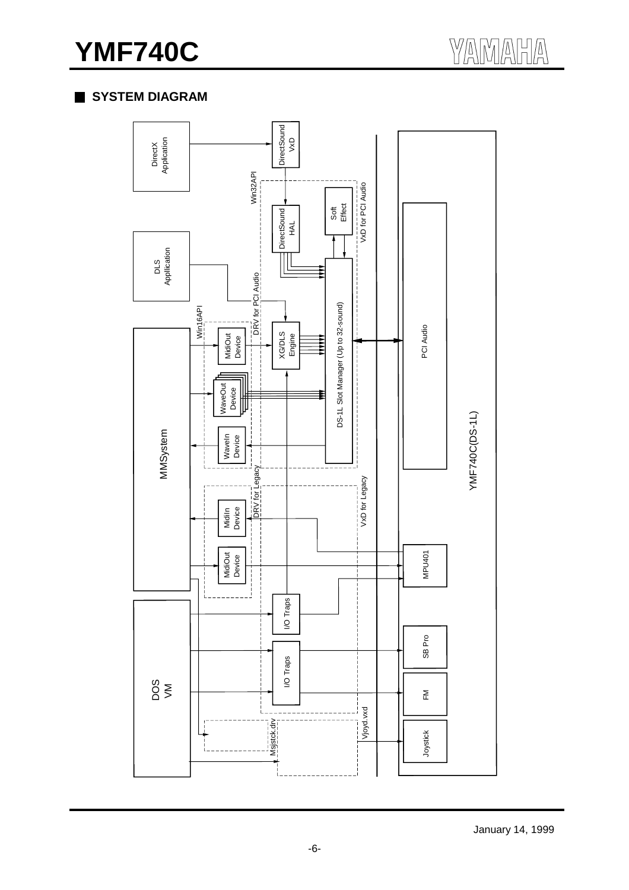# **YMF740C**

# **SYSTEM DIAGRAM**



January 14, 1999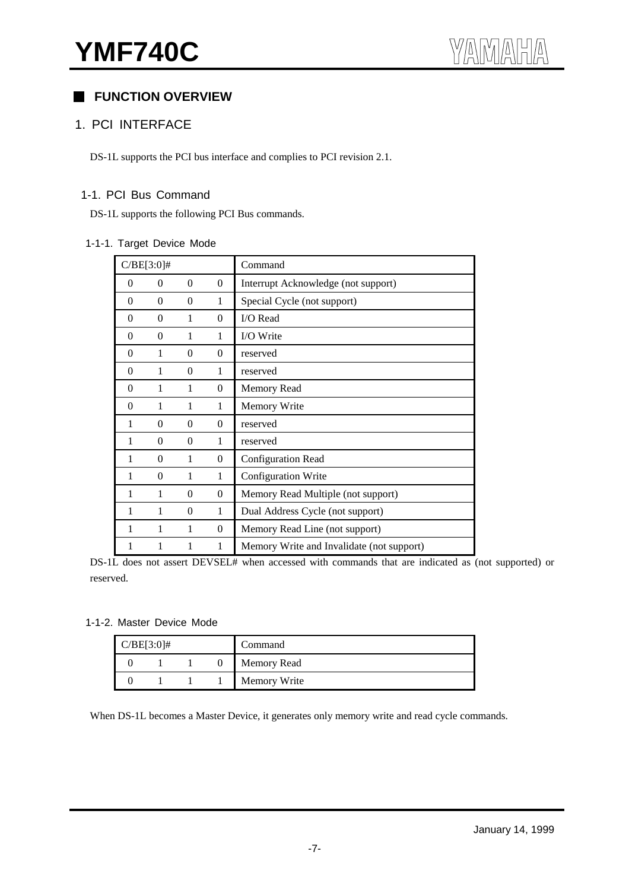# **FUNCTION OVERVIEW**

#### 1. PCI INTERFACE

DS-1L supports the PCI bus interface and complies to PCI revision 2.1.

### 1-1. PCI Bus Command

DS-1L supports the following PCI Bus commands.

#### 1-1-1. Target Device Mode

|          | $C/BE[3:0]$ #  |          |                  | Command                                   |
|----------|----------------|----------|------------------|-------------------------------------------|
| $\theta$ | $\overline{0}$ | $\theta$ | $\overline{0}$   | Interrupt Acknowledge (not support)       |
| 0        | $\theta$       | $\theta$ | 1                | Special Cycle (not support)               |
| $\theta$ | $\theta$       | 1        | $\theta$         | I/O Read                                  |
| $\theta$ | $\overline{0}$ | 1        | 1                | I/O Write                                 |
| $\theta$ | 1              | $\Omega$ | $\Omega$         | reserved                                  |
| $\theta$ | 1              | $\Omega$ | 1                | reserved                                  |
| $\theta$ | 1              | 1        | $\boldsymbol{0}$ | <b>Memory Read</b>                        |
| $\Omega$ | 1              | 1        | $\mathbf{1}$     | Memory Write                              |
| 1        | $\overline{0}$ | $\theta$ | $\theta$         | reserved                                  |
| 1        | $\overline{0}$ | $\theta$ | 1                | reserved                                  |
| 1        | $\theta$       | 1        | $\overline{0}$   | Configuration Read                        |
| 1        | $\theta$       | 1        | $\mathbf{1}$     | Configuration Write                       |
| 1        | 1              | $\Omega$ | $\theta$         | Memory Read Multiple (not support)        |
| 1        | 1              | $\theta$ | $\mathbf{1}$     | Dual Address Cycle (not support)          |
| 1        | 1              | 1        | $\theta$         | Memory Read Line (not support)            |
| 1        |                | 1        | 1                | Memory Write and Invalidate (not support) |

DS-1L does not assert DEVSEL# when accessed with commands that are indicated as (not supported) or reserved.

#### 1-1-2. Master Device Mode

| $C/BE[3:0]$ # |  | Command            |
|---------------|--|--------------------|
|               |  | <b>Memory Read</b> |
|               |  | Memory Write       |

When DS-1L becomes a Master Device, it generates only memory write and read cycle commands.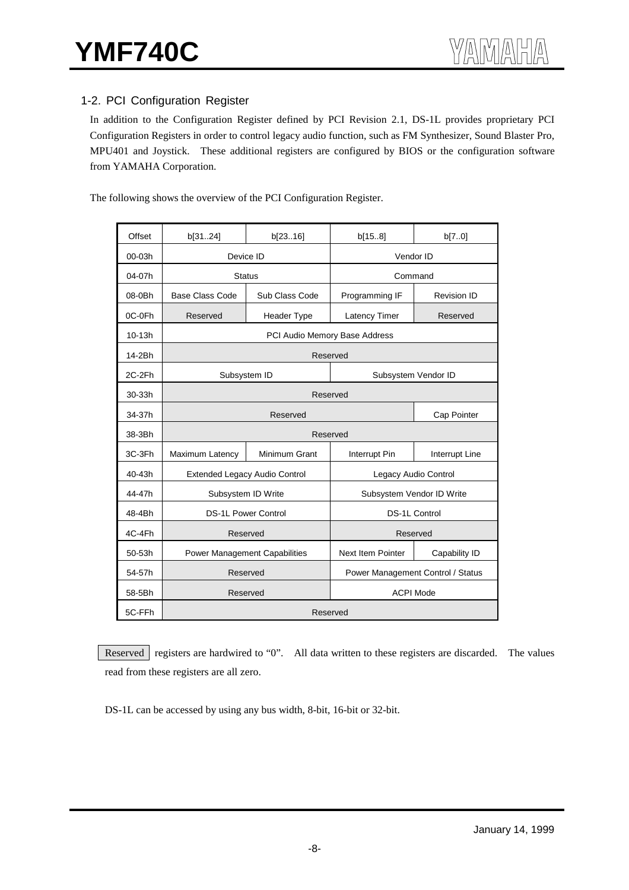# 1-2. PCI Configuration Register

In addition to the Configuration Register defined by PCI Revision 2.1, DS-1L provides proprietary PCI Configuration Registers in order to control legacy audio function, such as FM Synthesizer, Sound Blaster Pro, MPU401 and Joystick. These additional registers are configured by BIOS or the configuration software from YAMAHA Corporation.

The following shows the overview of the PCI Configuration Register.

| Offset | b[3124]                       | b[2316]                              | b[158]                            | b[70]              |  |  |  |  |  |  |  |
|--------|-------------------------------|--------------------------------------|-----------------------------------|--------------------|--|--|--|--|--|--|--|
| 00-03h | Device ID                     |                                      | Vendor ID                         |                    |  |  |  |  |  |  |  |
| 04-07h |                               | <b>Status</b>                        | Command                           |                    |  |  |  |  |  |  |  |
|        |                               |                                      |                                   |                    |  |  |  |  |  |  |  |
| 08-0Bh | <b>Base Class Code</b>        | Sub Class Code                       | Programming IF                    | <b>Revision ID</b> |  |  |  |  |  |  |  |
| 0C-0Fh | Reserved                      | Header Type                          | Latency Timer                     | Reserved           |  |  |  |  |  |  |  |
| 10-13h | PCI Audio Memory Base Address |                                      |                                   |                    |  |  |  |  |  |  |  |
| 14-2Bh | Reserved                      |                                      |                                   |                    |  |  |  |  |  |  |  |
| 2C-2Fh |                               | Subsystem ID                         | Subsystem Vendor ID               |                    |  |  |  |  |  |  |  |
| 30-33h | Reserved                      |                                      |                                   |                    |  |  |  |  |  |  |  |
| 34-37h |                               | Reserved                             |                                   | Cap Pointer        |  |  |  |  |  |  |  |
| 38-3Bh |                               | Reserved                             |                                   |                    |  |  |  |  |  |  |  |
| 3C-3Fh | Maximum Latency               | Minimum Grant                        | Interrupt Pin                     | Interrupt Line     |  |  |  |  |  |  |  |
| 40-43h |                               | <b>Extended Legacy Audio Control</b> | Legacy Audio Control              |                    |  |  |  |  |  |  |  |
| 44-47h | Subsystem ID Write            |                                      | Subsystem Vendor ID Write         |                    |  |  |  |  |  |  |  |
| 48-4Bh |                               | <b>DS-1L Power Control</b>           | DS-1L Control                     |                    |  |  |  |  |  |  |  |
| 4C-4Fh |                               | Reserved                             | Reserved                          |                    |  |  |  |  |  |  |  |
| 50-53h |                               | <b>Power Management Capabilities</b> | Next Item Pointer                 | Capability ID      |  |  |  |  |  |  |  |
| 54-57h |                               | Reserved                             | Power Management Control / Status |                    |  |  |  |  |  |  |  |
| 58-5Bh |                               | Reserved                             | <b>ACPI Mode</b>                  |                    |  |  |  |  |  |  |  |
| 5C-FFh |                               | Reserved                             |                                   |                    |  |  |  |  |  |  |  |

Reserved registers are hardwired to "0". All data written to these registers are discarded. The values read from these registers are all zero.

DS-1L can be accessed by using any bus width, 8-bit, 16-bit or 32-bit.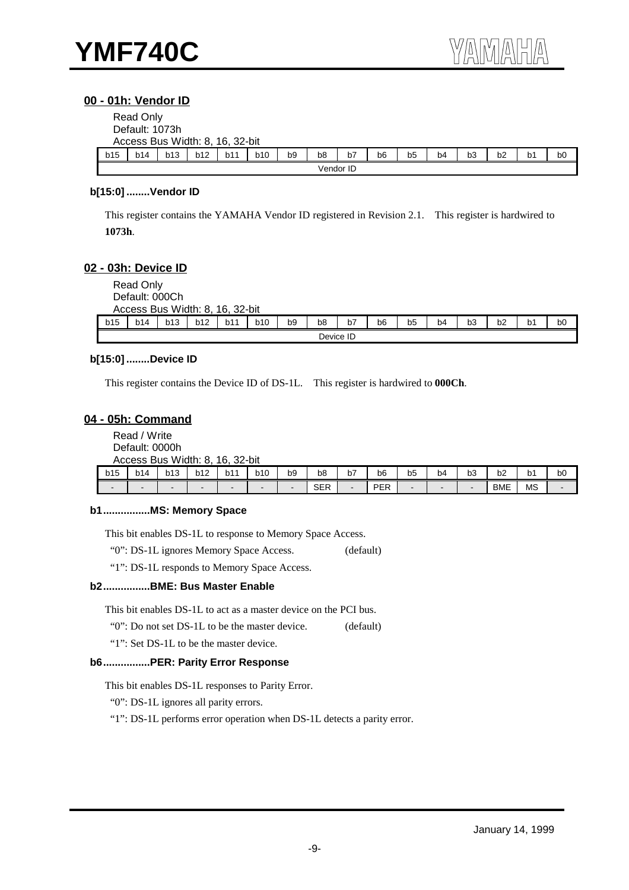#### **00 - 01h: Vendor ID**

|     | Read Only<br>Default: 1073h<br>Access Bus Width: 8, 16, 32-bit |     |     |     |     |                |    |    |                |    |                |                |    |                |                |
|-----|----------------------------------------------------------------|-----|-----|-----|-----|----------------|----|----|----------------|----|----------------|----------------|----|----------------|----------------|
| b15 | b14                                                            | b13 | b12 | b11 | b10 | b <sub>9</sub> | b8 | b7 | b <sub>6</sub> | b5 | b <sub>4</sub> | b <sub>3</sub> | b2 | b <sub>1</sub> | b <sub>0</sub> |
|     | Vendor ID                                                      |     |     |     |     |                |    |    |                |    |                |                |    |                |                |

#### **b[15:0] ........Vendor ID**

This register contains the YAMAHA Vendor ID registered in Revision 2.1. This register is hardwired to **1073h**.

#### **02 - 03h: Device ID**

|     | Read Only<br>Default: 000Ch<br>Access Bus Width: 8, 16, 32-bit |     |            |     |     |                |                |    |    |    |    |    |                |                |    |
|-----|----------------------------------------------------------------|-----|------------|-----|-----|----------------|----------------|----|----|----|----|----|----------------|----------------|----|
| b15 | b14                                                            | b13 | <b>b12</b> | b11 | b10 | b <sub>9</sub> | b <sub>8</sub> | b7 | b6 | b5 | b4 | b3 | b <sub>2</sub> | b <sub>1</sub> | b0 |
|     | Device ID                                                      |     |            |     |     |                |                |    |    |    |    |    |                |                |    |

#### **b[15:0] ........Device ID**

This register contains the Device ID of DS-1L. This register is hardwired to **000Ch**.

#### **04 - 05h: Command**

Read / Write Default: 0000h Access Bus Width: 8, 16, 32-bit

| b15                      | b14    | b13 | <b>b12</b> | b11 | b10 | b9                       | b8                | b7<br>$\sim$ | b6         | -<br>b5 | b4<br>$\sim$ | $\sim$ $\sim$<br>b3 | b2         | b1<br>$\sim$ | b <sub>0</sub> |
|--------------------------|--------|-----|------------|-----|-----|--------------------------|-------------------|--------------|------------|---------|--------------|---------------------|------------|--------------|----------------|
| $\overline{\phantom{0}}$ | $\sim$ |     | -          | -   |     | $\overline{\phantom{0}}$ | <b>QED</b><br>◡∟∩ |              | <b>PER</b> |         |              | ۰.                  | <b>BME</b> | <b>MS</b>    |                |

#### **b1................MS: Memory Space**

This bit enables DS-1L to response to Memory Space Access.

"0": DS-1L ignores Memory Space Access. (default)

"1": DS-1L responds to Memory Space Access.

#### **b2................BME: Bus Master Enable**

This bit enables DS-1L to act as a master device on the PCI bus.

"0": Do not set DS-1L to be the master device. (default)

"1": Set DS-1L to be the master device.

#### **b6................PER: Parity Error Response**

This bit enables DS-1L responses to Parity Error.

"0": DS-1L ignores all parity errors.

"1": DS-1L performs error operation when DS-1L detects a parity error.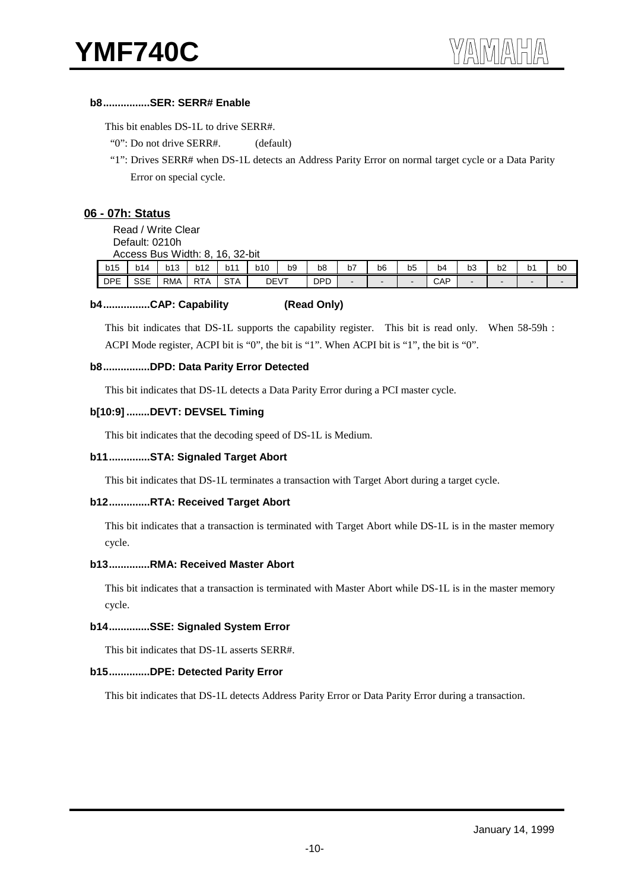#### **b8................SER: SERR# Enable**

This bit enables DS-1L to drive SERR#.

"0": Do not drive SERR#. (default)

 "1": Drives SERR# when DS-1L detects an Address Parity Error on normal target cycle or a Data Parity Error on special cycle.

#### **06 - 07h: Status**

Read / Write Clear

Default: 0210h

|            | Access     | Bus Width: 8, |            | 32-bit<br>16. |             |                |                |    |              |                |     |    |                |    |                |
|------------|------------|---------------|------------|---------------|-------------|----------------|----------------|----|--------------|----------------|-----|----|----------------|----|----------------|
| b15        | b14        | b13           | b12        | b11           | <b>b10</b>  | b <sub>9</sub> | b <sub>8</sub> | b7 | b6           | b <sub>5</sub> | b4  | b3 | b <sub>2</sub> | b1 | b <sub>0</sub> |
| <b>DPE</b> | <b>SSE</b> | <b>RMA</b>    | <b>RTA</b> | <b>STA</b>    | <b>DEVT</b> |                | <b>DPD</b>     | -  | <b>COLUM</b> | -              | CAP |    |                | -  |                |

#### **b4................CAP: Capability (Read Only)**

This bit indicates that DS-1L supports the capability register. This bit is read only. When 58-59h : ACPI Mode register, ACPI bit is "0", the bit is "1". When ACPI bit is "1", the bit is "0".

#### **b8................DPD: Data Parity Error Detected**

This bit indicates that DS-1L detects a Data Parity Error during a PCI master cycle.

#### **b[10:9] ........DEVT: DEVSEL Timing**

This bit indicates that the decoding speed of DS-1L is Medium.

#### **b11..............STA: Signaled Target Abort**

This bit indicates that DS-1L terminates a transaction with Target Abort during a target cycle.

#### **b12..............RTA: Received Target Abort**

This bit indicates that a transaction is terminated with Target Abort while DS-1L is in the master memory cycle.

#### **b13..............RMA: Received Master Abort**

This bit indicates that a transaction is terminated with Master Abort while DS-1L is in the master memory cycle.

#### **b14..............SSE: Signaled System Error**

This bit indicates that DS-1L asserts SERR#.

#### **b15..............DPE: Detected Parity Error**

This bit indicates that DS-1L detects Address Parity Error or Data Parity Error during a transaction.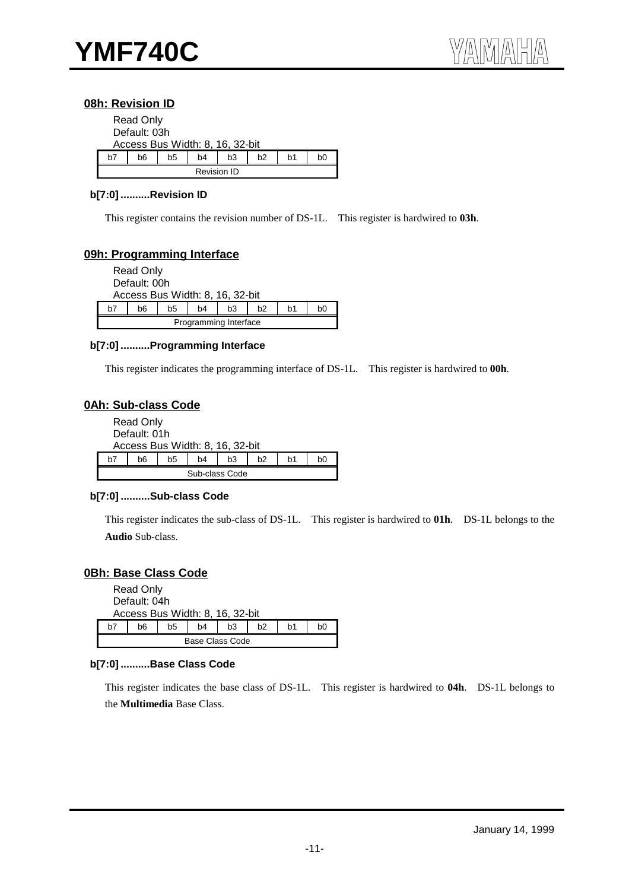#### **08h: Revision ID**

|    | <b>Read Only</b><br>Default: 03h | Access Bus Width: 8, 16, 32-bit |                    |    |                |    |    |
|----|----------------------------------|---------------------------------|--------------------|----|----------------|----|----|
| h7 | h6                               | b5                              | b4                 | b3 | b <sub>2</sub> | b1 | b0 |
|    |                                  |                                 | <b>Revision ID</b> |    |                |    |    |

#### **b[7:0] ..........Revision ID**

This register contains the revision number of DS-1L. This register is hardwired to **03h**.

#### **09h: Programming Interface**

|    | <b>Read Only</b> |                                 |                       |    |                |    |    |
|----|------------------|---------------------------------|-----------------------|----|----------------|----|----|
|    | Default: 00h     |                                 |                       |    |                |    |    |
|    |                  | Access Bus Width: 8, 16, 32-bit |                       |    |                |    |    |
| h7 | b6               | b5                              | b4                    | b3 | b <sub>2</sub> | b1 | b0 |
|    |                  |                                 | Programming Interface |    |                |    |    |

#### **b[7:0] ..........Programming Interface**

This register indicates the programming interface of DS-1L. This register is hardwired to **00h**.

#### **0Ah: Sub-class Code**

|    | Read Only<br>Default: 01h |    | Access Bus Width: 8, 16, 32-bit |    |    |                |    |
|----|---------------------------|----|---------------------------------|----|----|----------------|----|
| h7 | b6                        | b5 | b4                              | b3 | h2 | h <sub>1</sub> | b0 |
|    |                           |    | Sub-class Code                  |    |    |                |    |

#### **b[7:0] ..........Sub-class Code**

This register indicates the sub-class of DS-1L. This register is hardwired to **01h**. DS-1L belongs to the **Audio** Sub-class.

#### **0Bh: Base Class Code**

|    | Read Only<br>Default: 04h       |    |                 |    |    |    |    |  |  |  |
|----|---------------------------------|----|-----------------|----|----|----|----|--|--|--|
|    | Access Bus Width: 8, 16, 32-bit |    |                 |    |    |    |    |  |  |  |
| h7 | b6                              | b5 | b4              | b3 | h2 | b1 | b0 |  |  |  |
|    |                                 |    | Base Class Code |    |    |    |    |  |  |  |

#### **b[7:0] ..........Base Class Code**

This register indicates the base class of DS-1L. This register is hardwired to **04h**. DS-1L belongs to the **Multimedia** Base Class.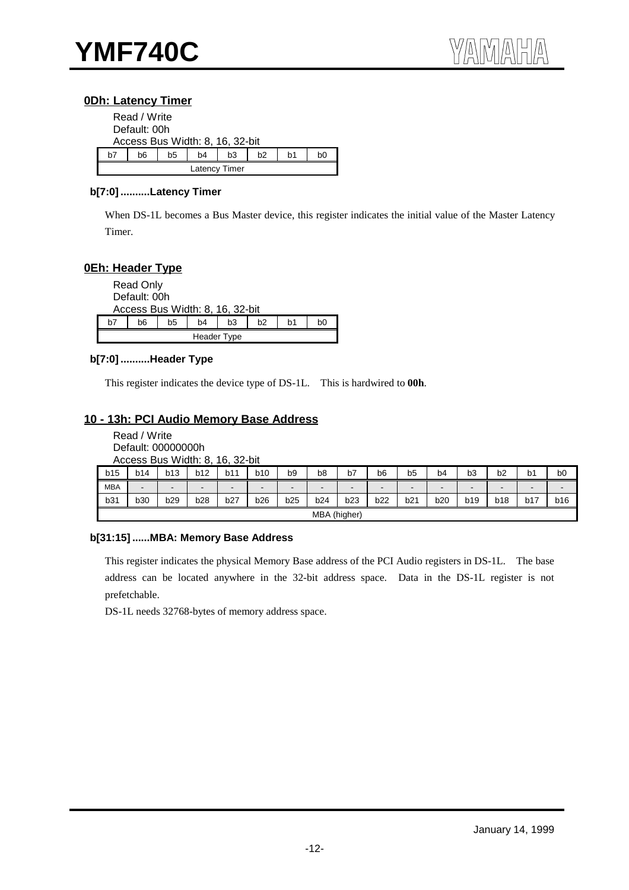#### **0Dh: Latency Timer**

|    | Read / Write |    |                                 |               |    |    |    |  |  |
|----|--------------|----|---------------------------------|---------------|----|----|----|--|--|
|    | Default: 00h |    |                                 |               |    |    |    |  |  |
|    |              |    | Access Bus Width: 8, 16, 32-bit |               |    |    |    |  |  |
| h7 | b6           | b5 | b4                              | b3            | b2 | b1 | b0 |  |  |
|    |              |    |                                 | Latency Timer |    |    |    |  |  |

#### **b[7:0] ..........Latency Timer**

When DS-1L becomes a Bus Master device, this register indicates the initial value of the Master Latency Timer.

#### **0Eh: Header Type**

|    | <b>Read Only</b><br>Default: 00h |    |                | Access Bus Width: 8, 16, 32-bit |    |    |    |
|----|----------------------------------|----|----------------|---------------------------------|----|----|----|
| b7 | b6                               | b5 | b <sub>4</sub> | b3                              | h2 | b1 | b0 |
|    |                                  |    |                | Header Type                     |    |    |    |

#### **b[7:0] ..........Header Type**

This register indicates the device type of DS-1L. This is hardwired to **00h**.

#### **10 - 13h: PCI Audio Memory Base Address**

| Read / Write                    |
|---------------------------------|
| Default: 00000000h              |
| Access Bus Width: 8, 16, 32-bit |

| b15        | b14                      | b13                      | b12                      | b11            | <b>b10</b>     | b9                       | b <sub>8</sub> | b7             | b6                       | b5              | b4             | b <sub>3</sub> | b2                       | b <sub>1</sub>           | b <sub>0</sub> |
|------------|--------------------------|--------------------------|--------------------------|----------------|----------------|--------------------------|----------------|----------------|--------------------------|-----------------|----------------|----------------|--------------------------|--------------------------|----------------|
| <b>MBA</b> | $\overline{\phantom{a}}$ | $\overline{\phantom{a}}$ | $\overline{\phantom{a}}$ | $\blacksquare$ | $\blacksquare$ | $\overline{\phantom{a}}$ | -              | $\blacksquare$ | $\overline{\phantom{a}}$ | $\qquad \qquad$ | $\blacksquare$ |                | $\overline{\phantom{0}}$ | $\overline{\phantom{a}}$ | $\blacksquare$ |
| b31        | b30                      | b29                      | b28                      | <b>b27</b>     | <b>b26</b>     | b25                      | b24            | b23            | b22                      | b21             | b20            | b19            | <b>b18</b>               | b17                      | b16            |
|            |                          |                          |                          |                |                |                          | MBA            | (higher)       |                          |                 |                |                |                          |                          |                |

#### **b[31:15] ......MBA: Memory Base Address**

This register indicates the physical Memory Base address of the PCI Audio registers in DS-1L. The base address can be located anywhere in the 32-bit address space. Data in the DS-1L register is not prefetchable.

DS-1L needs 32768-bytes of memory address space.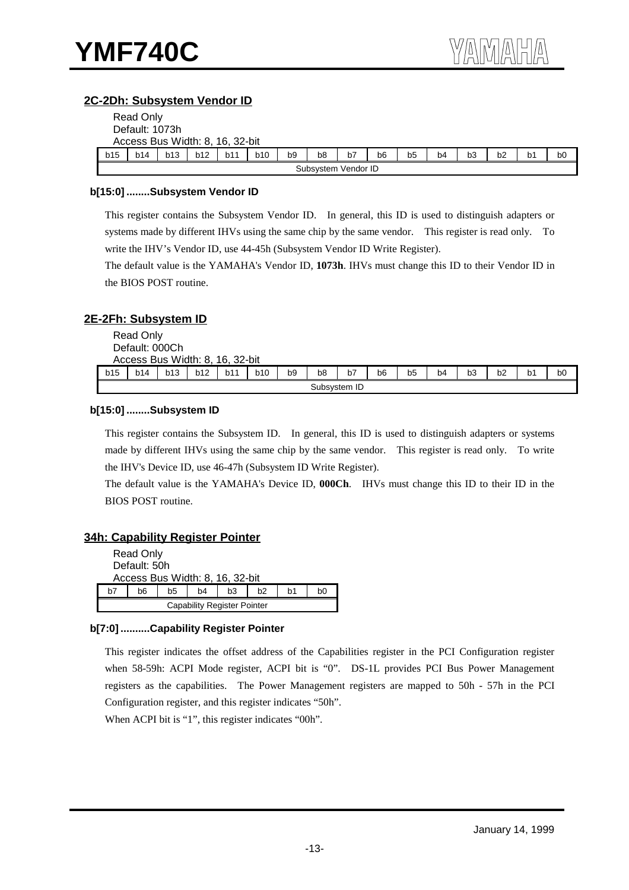#### **2C-2Dh: Subsystem Vendor ID**

|     | Read Only      |                                 |     |     |     |                |                |                     |                |                |    |    |    |                |                |
|-----|----------------|---------------------------------|-----|-----|-----|----------------|----------------|---------------------|----------------|----------------|----|----|----|----------------|----------------|
|     | Default: 1073h |                                 |     |     |     |                |                |                     |                |                |    |    |    |                |                |
|     |                | Access Bus Width: 8, 16, 32-bit |     |     |     |                |                |                     |                |                |    |    |    |                |                |
| b15 | b14            | b13                             | b12 | b11 | b10 | b <sub>9</sub> | b <sub>8</sub> | b7                  | b <sub>6</sub> | b <sub>5</sub> | b4 | b3 | b2 | b <sub>1</sub> | b <sub>0</sub> |
|     |                |                                 |     |     |     |                |                | Subsystem Vendor ID |                |                |    |    |    |                |                |

#### **b[15:0] ........Subsystem Vendor ID**

This register contains the Subsystem Vendor ID. In general, this ID is used to distinguish adapters or systems made by different IHVs using the same chip by the same vendor. This register is read only. To write the IHV's Vendor ID, use 44-45h (Subsystem Vendor ID Write Register).

The default value is the YAMAHA's Vendor ID, **1073h**. IHVs must change this ID to their Vendor ID in the BIOS POST routine.

#### **2E-2Fh: Subsystem ID**

|     | Read Only<br>Default: 000Ch<br>Access Bus Width: 8, 16, 32-bit |     |     |     |            |                |                |              |                |                |    |                |    |                |                |
|-----|----------------------------------------------------------------|-----|-----|-----|------------|----------------|----------------|--------------|----------------|----------------|----|----------------|----|----------------|----------------|
| b15 | b14                                                            | b13 | b12 | b11 | <b>b10</b> | b <sub>9</sub> | b <sub>8</sub> | b7           | b <sub>6</sub> | b <sub>5</sub> | b4 | b <sub>3</sub> | b2 | b <sub>1</sub> | b <sub>0</sub> |
|     |                                                                |     |     |     |            |                |                | Subsystem ID |                |                |    |                |    |                |                |

#### **b[15:0] ........Subsystem ID**

This register contains the Subsystem ID. In general, this ID is used to distinguish adapters or systems made by different IHVs using the same chip by the same vendor. This register is read only. To write the IHV's Device ID, use 46-47h (Subsystem ID Write Register).

The default value is the YAMAHA's Device ID, **000Ch**. IHVs must change this ID to their ID in the BIOS POST routine.

#### **34h: Capability Register Pointer**

|    | Read Only<br>Default: 50h                          | Access Bus Width: 8, 16, 32-bit |                                    |  |  |  |  |  |  |  |  |
|----|----------------------------------------------------|---------------------------------|------------------------------------|--|--|--|--|--|--|--|--|
| h7 | b6<br>b <sub>2</sub><br>b5<br>b3<br>b1<br>b0<br>b4 |                                 |                                    |  |  |  |  |  |  |  |  |
|    |                                                    |                                 | <b>Capability Register Pointer</b> |  |  |  |  |  |  |  |  |

#### **b[7:0] ..........Capability Register Pointer**

This register indicates the offset address of the Capabilities register in the PCI Configuration register when 58-59h: ACPI Mode register, ACPI bit is "0". DS-1L provides PCI Bus Power Management registers as the capabilities. The Power Management registers are mapped to 50h - 57h in the PCI Configuration register, and this register indicates "50h".

When ACPI bit is "1", this register indicates "00h".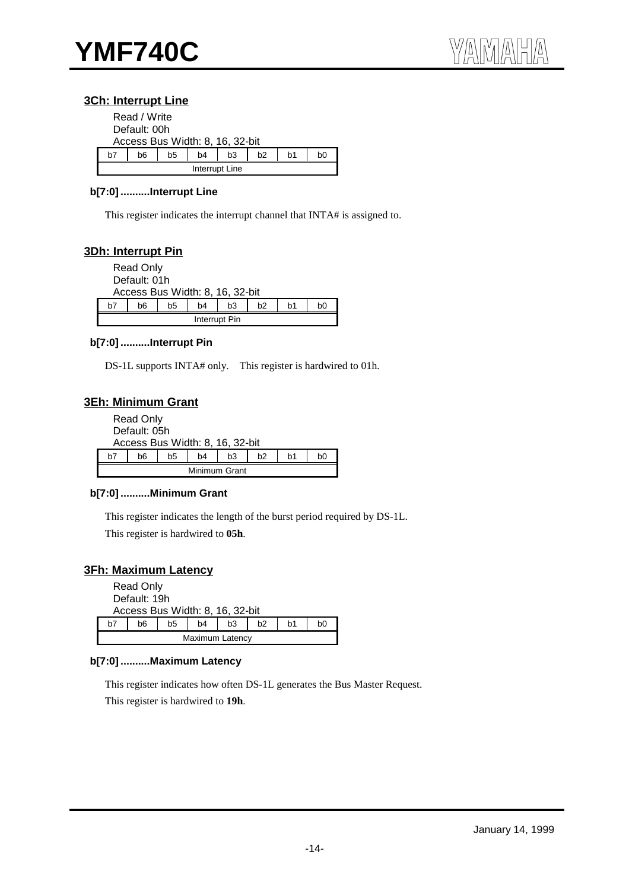#### **3Ch: Interrupt Line**

|              | Read / Write                           |  |  |  |  |  |  |  |
|--------------|----------------------------------------|--|--|--|--|--|--|--|
| Default: 00h |                                        |  |  |  |  |  |  |  |
|              | Access Bus Width: 8, 16, 32-bit        |  |  |  |  |  |  |  |
| h7           | b6<br>b5<br>b2<br>b4<br>b3<br>b1<br>bΩ |  |  |  |  |  |  |  |
|              | Interrupt Line                         |  |  |  |  |  |  |  |

#### **b[7:0] ..........Interrupt Line**

This register indicates the interrupt channel that INTA# is assigned to.

#### **3Dh: Interrupt Pin**

|                                                                      | <b>Read Only</b><br>Default: 01h |  |  |  |  |  |  |  |  |
|----------------------------------------------------------------------|----------------------------------|--|--|--|--|--|--|--|--|
| Access Bus Width: 8, 16, 32-bit                                      |                                  |  |  |  |  |  |  |  |  |
| h7<br>b3<br>b <sub>2</sub><br>b0<br>b5<br>b1<br>b <sub>4</sub><br>h6 |                                  |  |  |  |  |  |  |  |  |
|                                                                      | Interrupt Pin                    |  |  |  |  |  |  |  |  |

#### **b[7:0] ..........Interrupt Pin**

DS-1L supports INTA# only. This register is hardwired to 01h.

#### **3Eh: Minimum Grant**

| <b>Read Only</b>                                         |               |  |  |  |  |  |  |  |  |
|----------------------------------------------------------|---------------|--|--|--|--|--|--|--|--|
| Default: 05h                                             |               |  |  |  |  |  |  |  |  |
| Access Bus Width: 8, 16, 32-bit                          |               |  |  |  |  |  |  |  |  |
| b3<br>b <sub>2</sub><br>b1<br>h7<br>b5<br>b4<br>b6<br>b0 |               |  |  |  |  |  |  |  |  |
|                                                          | Minimum Grant |  |  |  |  |  |  |  |  |

#### **b[7:0] ..........Minimum Grant**

This register indicates the length of the burst period required by DS-1L. This register is hardwired to **05h**.

#### **3Fh: Maximum Latency**

| <b>Read Only</b><br>Default: 19h<br>Access Bus Width: 8, 16, 32-bit |  |  |  |  |  |  |  |  |
|---------------------------------------------------------------------|--|--|--|--|--|--|--|--|
| b <sub>3</sub><br>h7<br>b6<br>b5<br>h2<br>b1<br>b4<br>b0            |  |  |  |  |  |  |  |  |
| Maximum Latency                                                     |  |  |  |  |  |  |  |  |

#### **b[7:0] ..........Maximum Latency**

This register indicates how often DS-1L generates the Bus Master Request. This register is hardwired to **19h**.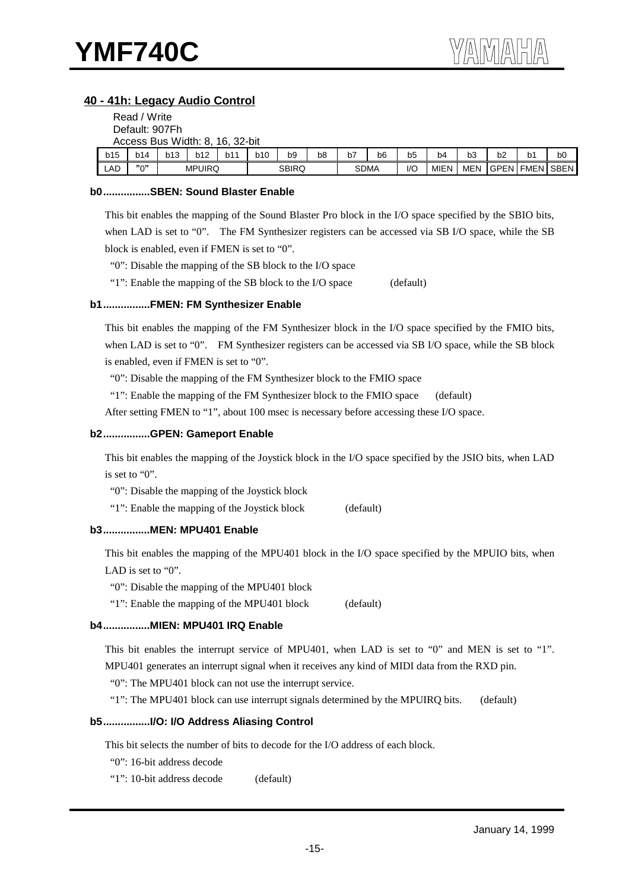#### **40 - 41h: Legacy Audio Control**

|     | Read / Write                    |            |               |     |     |              |                |             |                |     |                |                |    |                |                       |
|-----|---------------------------------|------------|---------------|-----|-----|--------------|----------------|-------------|----------------|-----|----------------|----------------|----|----------------|-----------------------|
|     | Default: 907Fh                  |            |               |     |     |              |                |             |                |     |                |                |    |                |                       |
|     | Access Bus Width: 8, 16, 32-bit |            |               |     |     |              |                |             |                |     |                |                |    |                |                       |
| b15 | b14                             | <b>b13</b> | <b>b12</b>    | b11 | b10 | b9           | b <sub>8</sub> | b7          | b <sub>6</sub> | b5  | b <sub>4</sub> | b <sub>3</sub> | b2 | b <sub>1</sub> | b0                    |
| LAD | "∩"                             |            | <b>MPUIRQ</b> |     |     | <b>SBIRQ</b> |                | <b>SDMA</b> |                | I/C | MIEN           | MEN            |    |                | <b>GPEN FMEN SBEN</b> |

#### **b0................SBEN: Sound Blaster Enable**

This bit enables the mapping of the Sound Blaster Pro block in the I/O space specified by the SBIO bits, when LAD is set to "0". The FM Synthesizer registers can be accessed via SB I/O space, while the SB block is enabled, even if FMEN is set to "0".

"0": Disable the mapping of the SB block to the I/O space

"1": Enable the mapping of the SB block to the I/O space (default)

#### **b1................FMEN: FM Synthesizer Enable**

This bit enables the mapping of the FM Synthesizer block in the I/O space specified by the FMIO bits, when LAD is set to "0". FM Synthesizer registers can be accessed via SB I/O space, while the SB block is enabled, even if FMEN is set to "0".

"0": Disable the mapping of the FM Synthesizer block to the FMIO space

"1": Enable the mapping of the FM Synthesizer block to the FMIO space (default)

After setting FMEN to "1", about 100 msec is necessary before accessing these I/O space.

#### **b2................GPEN: Gameport Enable**

This bit enables the mapping of the Joystick block in the I/O space specified by the JSIO bits, when LAD is set to "0".

"0": Disable the mapping of the Joystick block

"1": Enable the mapping of the Joystick block (default)

#### **b3................MEN: MPU401 Enable**

This bit enables the mapping of the MPU401 block in the I/O space specified by the MPUIO bits, when LAD is set to "0".

"0": Disable the mapping of the MPU401 block

"1": Enable the mapping of the MPU401 block (default)

#### **b4................MIEN: MPU401 IRQ Enable**

This bit enables the interrupt service of MPU401, when LAD is set to "0" and MEN is set to "1". MPU401 generates an interrupt signal when it receives any kind of MIDI data from the RXD pin.

"0": The MPU401 block can not use the interrupt service.

"1": The MPU401 block can use interrupt signals determined by the MPUIRQ bits. (default)

#### **b5................I/O: I/O Address Aliasing Control**

This bit selects the number of bits to decode for the I/O address of each block.

"0": 16-bit address decode

"1": 10-bit address decode (default)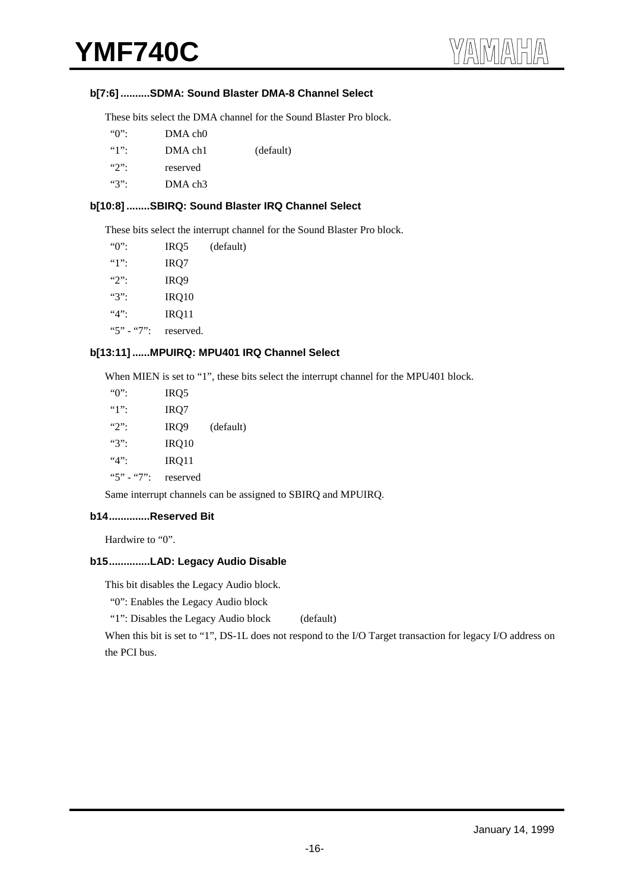#### **b[7:6] ..........SDMA: Sound Blaster DMA-8 Channel Select**

These bits select the DMA channel for the Sound Blaster Pro block.

| $\lq\lq\lq\lq\lq\lq\lq\lq$ | $DMA$ ch $0$        |           |
|----------------------------|---------------------|-----------|
|                            | DMA ch1             | (default) |
| $\mathcal{L}$              | reserved            |           |
| ``3"                       | DMA ch <sub>3</sub> |           |

#### **b[10:8] ........SBIRQ: Sound Blaster IRQ Channel Select**

These bits select the interrupt channel for the Sound Blaster Pro block.

| " $0$ ":    | IRQ5             | (default) |
|-------------|------------------|-----------|
| $"1"$ :     | IRQ7             |           |
| $"2"$ :     | IRQ <sub>9</sub> |           |
| $"3"$ :     | IRQ10            |           |
| $4$ ":      | IRQ11            |           |
| $"5" - "7"$ | reserved.        |           |

#### **b[13:11] ......MPUIRQ: MPU401 IRQ Channel Select**

When MIEN is set to "1", these bits select the interrupt channel for the MPU401 block.

| $\lq\lq\lq\lq\lq\lq\lq$ | IRQ5     |           |
|-------------------------|----------|-----------|
| $"1"$ :                 | IRQ7     |           |
| $"2"$ :                 | IRQ9     | (default) |
| $"3"$ :                 | IRQ10    |           |
| $4$ ":                  | IRQ11    |           |
| $"5" - "7"$             | reserved |           |

Same interrupt channels can be assigned to SBIRQ and MPUIRQ.

#### **b14..............Reserved Bit**

Hardwire to "0".

#### **b15..............LAD: Legacy Audio Disable**

This bit disables the Legacy Audio block.

"0": Enables the Legacy Audio block

"1": Disables the Legacy Audio block (default)

When this bit is set to "1", DS-1L does not respond to the I/O Target transaction for legacy I/O address on the PCI bus.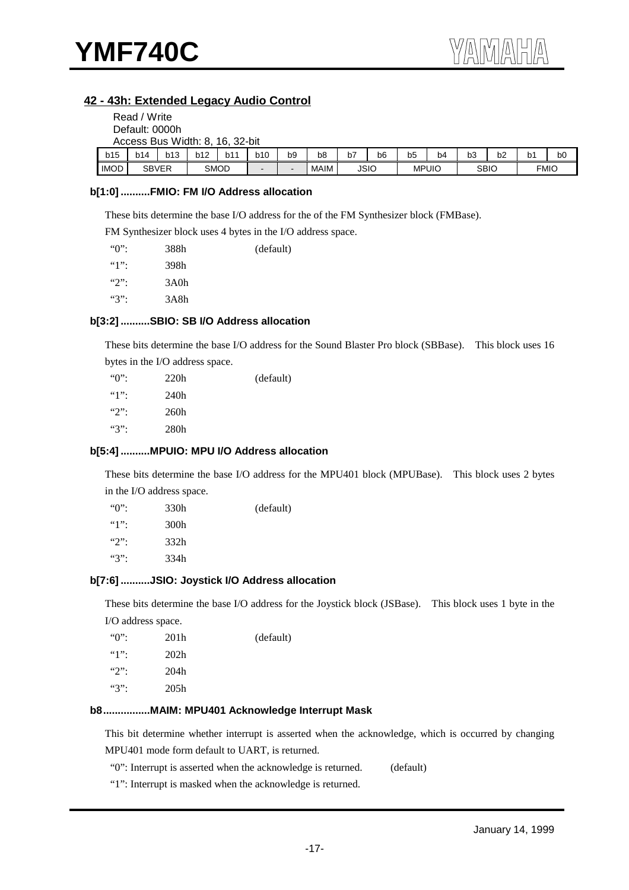$R$ 

### **42 - 43h: Extended Legacy Audio Control**

|                | Read / Write |            |                                 |             |                          |                          |             |    |             |              |                |             |    |                |    |
|----------------|--------------|------------|---------------------------------|-------------|--------------------------|--------------------------|-------------|----|-------------|--------------|----------------|-------------|----|----------------|----|
| Default: 0000h |              |            |                                 |             |                          |                          |             |    |             |              |                |             |    |                |    |
|                |              |            | Access Bus Width: 8, 16, 32-bit |             |                          |                          |             |    |             |              |                |             |    |                |    |
| b15            | b14          | <b>b13</b> | <b>b12</b>                      | b11         | b10                      | b9                       | b8          | b7 | b6          | b5           | b <sub>4</sub> | b3          | b2 | b <sub>1</sub> | b0 |
| <b>IMOD</b>    | <b>SBVER</b> |            |                                 | <b>SMOD</b> | $\overline{\phantom{0}}$ | $\overline{\phantom{a}}$ | <b>MAIM</b> |    | <b>JSIO</b> | <b>MPUIO</b> |                | <b>SBIO</b> |    | <b>FMIO</b>    |    |

#### **b[1:0] ..........FMIO: FM I/O Address allocation**

These bits determine the base I/O address for the of the FM Synthesizer block (FMBase).

FM Synthesizer block uses 4 bytes in the I/O address space.

| $\lq\lq\lq\lq\lq\lq\lq\lq$ | 388h | (default) |
|----------------------------|------|-----------|
| $"1"$ :                    | 398h |           |
| $"2"$ :                    | 3A0h |           |
| "3"                        | 3A8h |           |

#### **b[3:2] ..........SBIO: SB I/O Address allocation**

These bits determine the base I/O address for the Sound Blaster Pro block (SBBase). This block uses 16

bytes in the I/O address space.

| $\lq\lq\lq\lq\lq\lq\lq\lq\lq$ | 220h | (default) |
|-------------------------------|------|-----------|
| $"1"$ :                       | 240h |           |
| $\mathcal{L}$                 | 260h |           |
| $"3"$ :                       | 280h |           |

#### **b[5:4] ..........MPUIO: MPU I/O Address allocation**

These bits determine the base I/O address for the MPU401 block (MPUBase). This block uses 2 bytes in the I/O address space.

| $\lq\lq\lq\lq\lq\lq\lq$ | 330h | (default) |
|-------------------------|------|-----------|
| $"1"$ :                 | 300h |           |
| $\mathcal{L}$           | 332h |           |
| $\mathscr{C}$           | 334h |           |
|                         |      |           |

#### **b[7:6] ..........JSIO: Joystick I/O Address allocation**

These bits determine the base I/O address for the Joystick block (JSBase). This block uses 1 byte in the I/O address space.

| $\lq\lq\lq\lq\lq\lq\lq\lq$ | 201 <sub>h</sub> | (default) |
|----------------------------|------------------|-----------|
| $"1"$ :                    | 202 <sub>h</sub> |           |
| $\mathcal{L}$              | 204h             |           |
| $``3"$ :                   | 205h             |           |

#### **b8................MAIM: MPU401 Acknowledge Interrupt Mask**

This bit determine whether interrupt is asserted when the acknowledge, which is occurred by changing MPU401 mode form default to UART, is returned.

"0": Interrupt is asserted when the acknowledge is returned. (default)

"1": Interrupt is masked when the acknowledge is returned.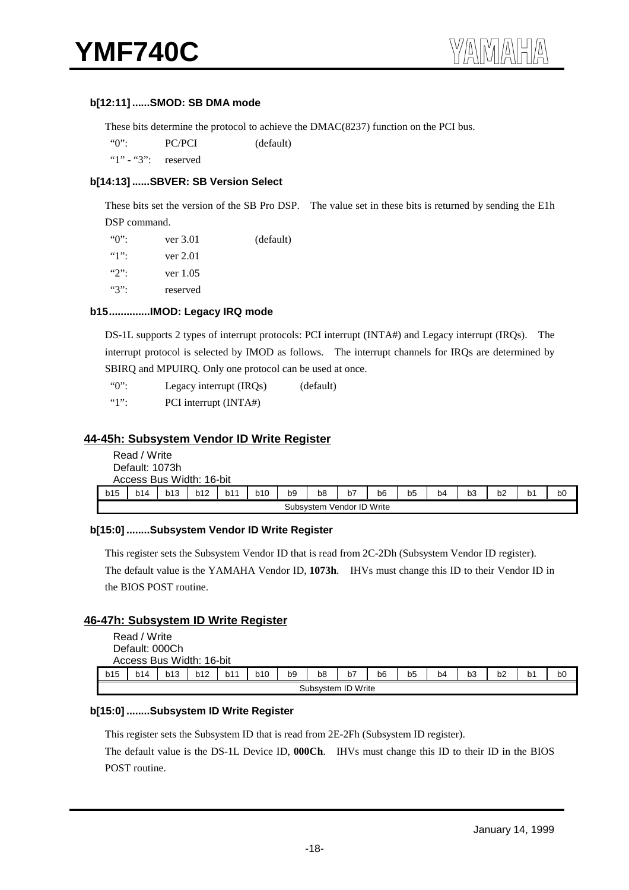#### **b[12:11] ......SMOD: SB DMA mode**

These bits determine the protocol to achieve the DMAC(8237) function on the PCI bus.

"0": PC/PCI (default)

" $1"$  - "3": reserved

#### **b[14:13] ......SBVER: SB Version Select**

These bits set the version of the SB Pro DSP. The value set in these bits is returned by sending the E1h DSP command.

| $\lq\lq\lq\lq\lq\lq\lq\lq$ | ver 3.01 | (default) |
|----------------------------|----------|-----------|
| $"1"$ :                    | ver 2.01 |           |
| $\mathcal{L}$              | ver 1.05 |           |
| $``3"$ :                   | reserved |           |

#### **b15..............IMOD: Legacy IRQ mode**

DS-1L supports 2 types of interrupt protocols: PCI interrupt (INTA#) and Legacy interrupt (IRQs). The interrupt protocol is selected by IMOD as follows. The interrupt channels for IRQs are determined by SBIRQ and MPUIRQ. Only one protocol can be used at once.

"0": Legacy interrupt (IRQs) (default)

"1": PCI interrupt (INTA#)

#### **44-45h: Subsystem Vendor ID Write Register**

|     | Read / Write<br>Default: 1073h<br>Access Bus Width: 16-bit                                                                                                                   |                           |  |  |  |  |  |  |  |  |  |  |  |  |
|-----|------------------------------------------------------------------------------------------------------------------------------------------------------------------------------|---------------------------|--|--|--|--|--|--|--|--|--|--|--|--|
| b15 | b11<br>b9<br><b>b13</b><br>b12<br><b>b10</b><br>b6<br>b7<br>b <sub>8</sub><br>b3<br>b <sub>1</sub><br><b>b14</b><br>b <sub>4</sub><br>b <sub>2</sub><br>bO<br>b <sub>5</sub> |                           |  |  |  |  |  |  |  |  |  |  |  |  |
|     |                                                                                                                                                                              | Subsystem Vendor ID Write |  |  |  |  |  |  |  |  |  |  |  |  |

#### **b[15:0] ........Subsystem Vendor ID Write Register**

This register sets the Subsystem Vendor ID that is read from 2C-2Dh (Subsystem Vendor ID register). The default value is the YAMAHA Vendor ID, **1073h**.IHVs must change this ID to their Vendor ID in the BIOS POST routine.

#### **46-47h: Subsystem ID Write Register**

|     | Read / Write<br>Default: 000Ch | Access Bus Width: 16-bit |     |     |            |                |                    |    |    |                |                |                |    |                |    |
|-----|--------------------------------|--------------------------|-----|-----|------------|----------------|--------------------|----|----|----------------|----------------|----------------|----|----------------|----|
| b15 | b14                            | b13                      | b12 | b11 | <b>b10</b> | b <sub>9</sub> | b <sub>8</sub>     | b7 | b6 | b <sub>5</sub> | b <sub>4</sub> | b <sub>3</sub> | b2 | b <sub>1</sub> | b0 |
|     |                                |                          |     |     |            |                | Subsystem ID Write |    |    |                |                |                |    |                |    |

#### **b[15:0] ........Subsystem ID Write Register**

This register sets the Subsystem ID that is read from 2E-2Fh (Subsystem ID register).

The default value is the DS-1L Device ID, **000Ch**. IHVs must change this ID to their ID in the BIOS POST routine.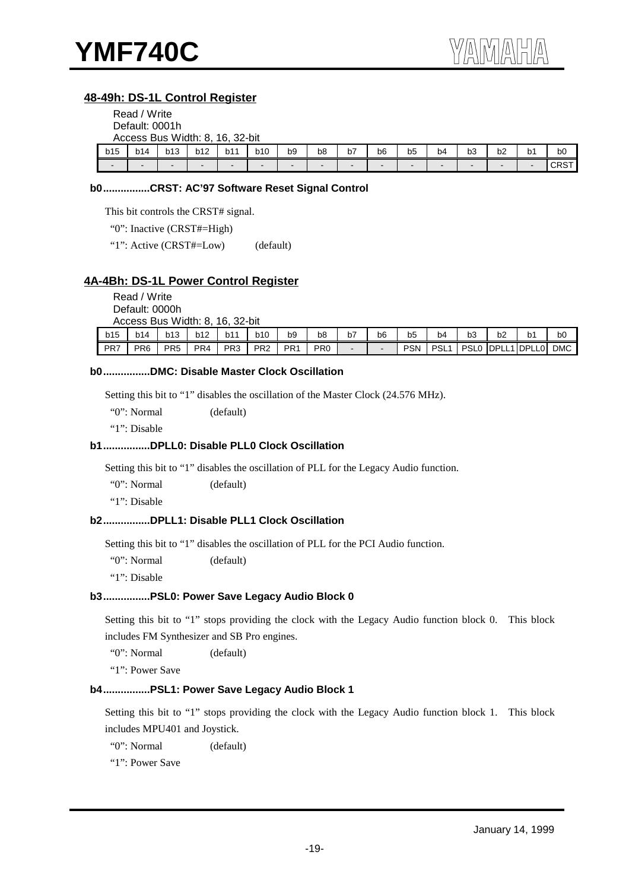#### **48-49h: DS-1L Control Register**

| Read / Write   |  |
|----------------|--|
| Default: 0001h |  |
|                |  |

|                          | Access Bus Width: 8, |        |            | 32-bit<br>16.   |                          |                          |    |                          |    |                |                          |    |    |                          |             |
|--------------------------|----------------------|--------|------------|-----------------|--------------------------|--------------------------|----|--------------------------|----|----------------|--------------------------|----|----|--------------------------|-------------|
| b15                      | b14                  | b13    | <b>b12</b> | b1 <sup>1</sup> | <b>b10</b>               | b9                       | b8 | b7                       | b6 | b <sub>5</sub> | b4                       | bЗ | b2 | b1                       | bO          |
| $\overline{\phantom{0}}$ |                      | $\sim$ | -          | -               | $\overline{\phantom{0}}$ | $\overline{\phantom{0}}$ | -  | $\overline{\phantom{0}}$ | -  | -              | $\overline{\phantom{0}}$ |    |    | $\overline{\phantom{a}}$ | <b>CRST</b> |

#### **b0................CRST: AC'97 Software Reset Signal Control**

This bit controls the CRST# signal.

"0": Inactive (CRST#=High)

"1": Active (CRST#=Low) (default)

#### **4A-4Bh: DS-1L Power Control Register**

Read / Write

Default: 0000h Accoss Bus Width: 8, 16, 22 bit

|     | ACCESS DUS VIGUIL OF TO, JZ-DIL |                 |     |                 |                 |                 |                 |                          |    |            |            |                  |    |            |            |
|-----|---------------------------------|-----------------|-----|-----------------|-----------------|-----------------|-----------------|--------------------------|----|------------|------------|------------------|----|------------|------------|
| b15 | b14                             | b13             | b12 | <b>144</b>      | <b>b10</b>      | b9              | b8              | b7                       | b6 | -<br>b5    | b4         | bЗ               | b2 | b1         | bО         |
| PR7 | PR <sub>6</sub>                 | PR <sub>5</sub> | PR4 | PR <sub>3</sub> | PR <sub>2</sub> | PR <sub>1</sub> | PR <sub>0</sub> | $\overline{\phantom{0}}$ | -  | <b>PSN</b> | <b>PSL</b> | PSL <sub>0</sub> |    | DPLL1DPLL0 | <b>DMC</b> |

#### **b0................DMC: Disable Master Clock Oscillation**

Setting this bit to "1" disables the oscillation of the Master Clock (24.576 MHz).

"0": Normal (default)

"1": Disable

#### **b1................DPLL0: Disable PLL0 Clock Oscillation**

Setting this bit to "1" disables the oscillation of PLL for the Legacy Audio function.

"0": Normal (default)

"1": Disable

#### **b2................DPLL1: Disable PLL1 Clock Oscillation**

Setting this bit to "1" disables the oscillation of PLL for the PCI Audio function.

"0": Normal (default)

"1": Disable

#### **b3................PSL0: Power Save Legacy Audio Block 0**

Setting this bit to "1" stops providing the clock with the Legacy Audio function block 0. This block includes FM Synthesizer and SB Pro engines.

"0": Normal (default)

"1": Power Save

#### **b4................PSL1: Power Save Legacy Audio Block 1**

Setting this bit to "1" stops providing the clock with the Legacy Audio function block 1. This block includes MPU401 and Joystick.

"0": Normal (default)

"1": Power Save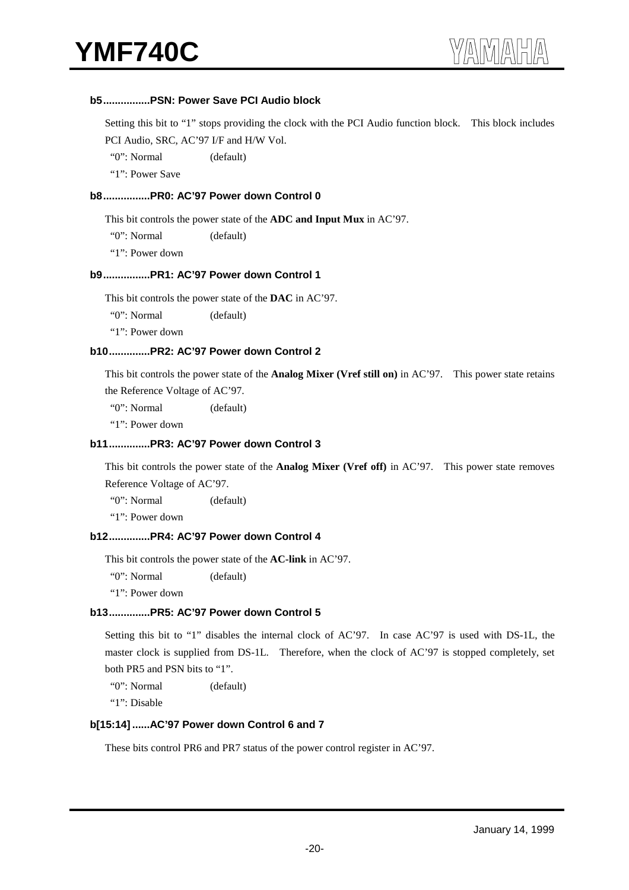#### **b5................PSN: Power Save PCI Audio block**

Setting this bit to "1" stops providing the clock with the PCI Audio function block. This block includes PCI Audio, SRC, AC'97 I/F and H/W Vol.

"0": Normal (default)

"1": Power Save

#### **b8................PR0: AC'97 Power down Control 0**

This bit controls the power state of the **ADC and Input Mux** in AC'97.

"0": Normal (default)

"1": Power down

#### **b9................PR1: AC'97 Power down Control 1**

This bit controls the power state of the **DAC** in AC'97.

"0": Normal (default)

"1": Power down

#### **b10..............PR2: AC'97 Power down Control 2**

This bit controls the power state of the **Analog Mixer (Vref still on)** in AC'97. This power state retains the Reference Voltage of AC'97.

"0": Normal (default)

"1": Power down

#### **b11..............PR3: AC'97 Power down Control 3**

This bit controls the power state of the **Analog Mixer (Vref off)** in AC'97. This power state removes Reference Voltage of AC'97.

"0": Normal (default)

"1": Power down

#### **b12..............PR4: AC'97 Power down Control 4**

This bit controls the power state of the **AC-link** in AC'97.

"0": Normal (default)

"1": Power down

#### **b13..............PR5: AC'97 Power down Control 5**

Setting this bit to "1" disables the internal clock of AC'97. In case AC'97 is used with DS-1L, the master clock is supplied from DS-1L. Therefore, when the clock of AC'97 is stopped completely, set both PR5 and PSN bits to "1".

"0": Normal (default)

"1": Disable

#### **b[15:14] ......AC'97 Power down Control 6 and 7**

These bits control PR6 and PR7 status of the power control register in AC'97.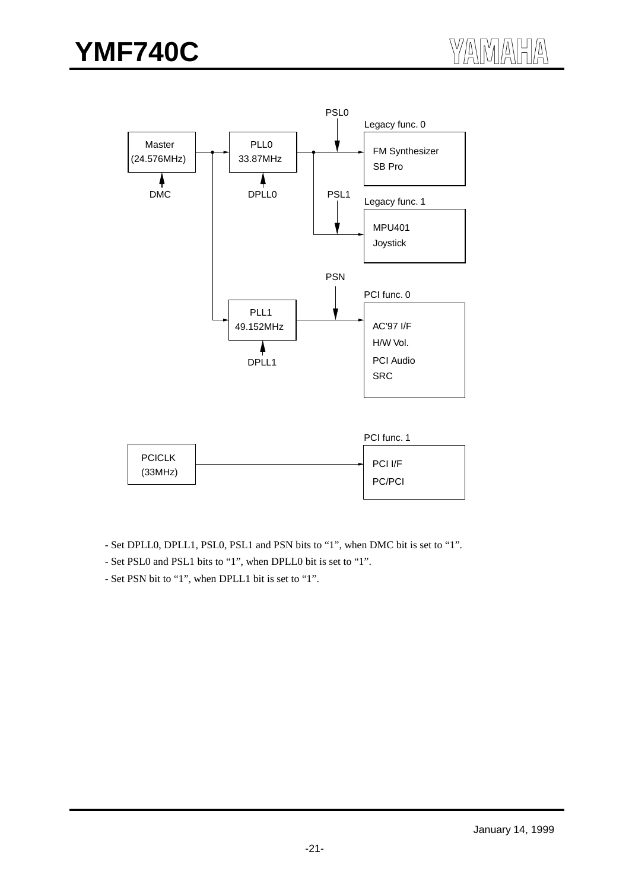



- Set PSL0 and PSL1 bits to "1", when DPLL0 bit is set to "1".
- Set PSN bit to "1", when DPLL1 bit is set to "1".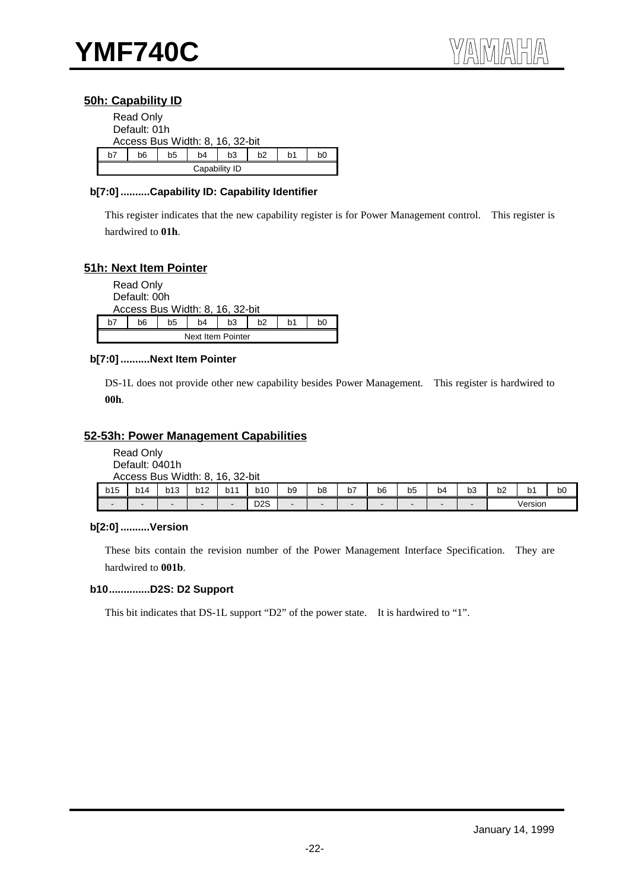#### **50h: Capability ID**

|    | <b>Read Only</b><br>Default: 01h |    | Access Bus Width: 8, 16, 32-bit |    |                |    |    |  |  |  |
|----|----------------------------------|----|---------------------------------|----|----------------|----|----|--|--|--|
| h7 | h6                               | b5 | b4                              | b3 | b <sub>2</sub> | b1 | b0 |  |  |  |
|    | Capability ID                    |    |                                 |    |                |    |    |  |  |  |

#### **b[7:0] ..........Capability ID: Capability Identifier**

This register indicates that the new capability register is for Power Management control. This register is hardwired to **01h**.

#### **51h: Next Item Pointer**

|    | <b>Read Only</b><br>Default: 00h |    |    |                                 |                |    |    |  |  |  |
|----|----------------------------------|----|----|---------------------------------|----------------|----|----|--|--|--|
|    |                                  |    |    | Access Bus Width: 8, 16, 32-bit |                |    |    |  |  |  |
| h7 | h6                               | b5 | b4 | b3                              | b <sub>2</sub> | b1 | b0 |  |  |  |
|    | Next Item Pointer                |    |    |                                 |                |    |    |  |  |  |

#### **b[7:0] ..........Next Item Pointer**

DS-1L does not provide other new capability besides Power Management. This register is hardwired to **00h**.

#### **52-53h: Power Management Capabilities**

Read Only Default: 0401h Access Bus Width: 8, 16, 32-bit

|                          |     | ACCESS BUS WIDIN. 8. |     | 10.<br>-3∠-DII |                  |    |    |                     |    |         |    |    |    |         |    |
|--------------------------|-----|----------------------|-----|----------------|------------------|----|----|---------------------|----|---------|----|----|----|---------|----|
| b15                      | b14 | b13                  | b12 | b11            | b10              | b9 | b8 | . .<br>$\mathsf{D}$ | b6 | -<br>b5 | b4 | b3 | b2 | י ס     | b0 |
| $\overline{\phantom{0}}$ |     | $\sim$               | -   | -              | D <sub>2</sub> S | -  |    | -                   |    |         |    | -  |    | Version |    |

#### **b[2:0] ..........Version**

These bits contain the revision number of the Power Management Interface Specification. They are hardwired to **001b**.

#### **b10..............D2S: D2 Support**

This bit indicates that DS-1L support "D2" of the power state. It is hardwired to "1".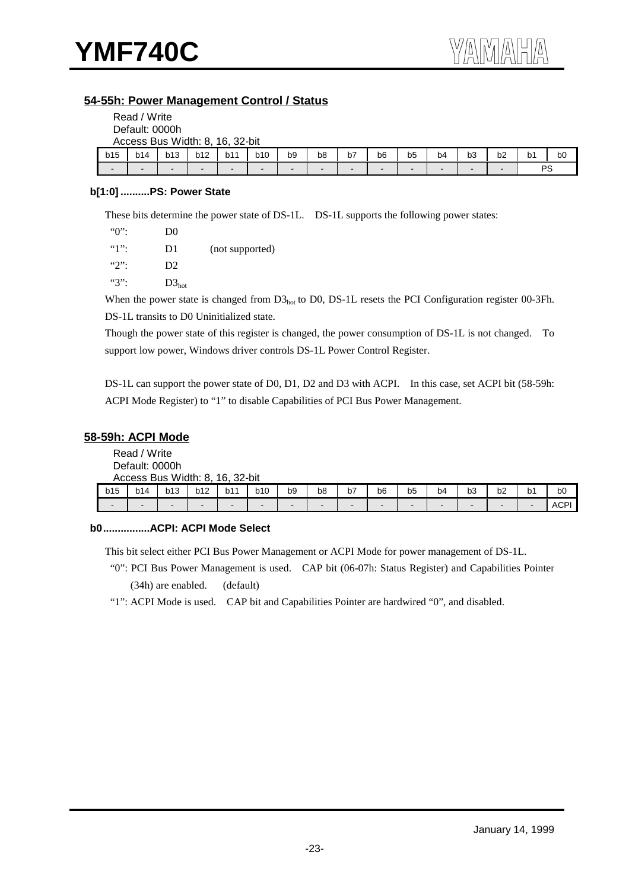#### **54-55h: Power Management Control / Status**

|                          | Read / Write                    |            |        |     |     |                |                |                          |                |                |                |    |    |                |                |
|--------------------------|---------------------------------|------------|--------|-----|-----|----------------|----------------|--------------------------|----------------|----------------|----------------|----|----|----------------|----------------|
|                          | Default: 0000h                  |            |        |     |     |                |                |                          |                |                |                |    |    |                |                |
|                          | Access Bus Width: 8, 16, 32-bit |            |        |     |     |                |                |                          |                |                |                |    |    |                |                |
| b15                      | b14                             | <b>b13</b> | b12    | b11 | b10 | b <sub>9</sub> | b <sub>8</sub> | b7                       | b <sub>6</sub> | b <sub>5</sub> | b <sub>4</sub> | b3 | b2 | b <sub>1</sub> | b <sub>0</sub> |
| $\overline{\phantom{0}}$ |                                 | -          | $\sim$ | -   |     | -              | -              | $\overline{\phantom{0}}$ |                | -              | -              |    |    | <b>PS</b>      |                |

#### **b[1:0] ..........PS: Power State**

These bits determine the power state of DS-1L. DS-1L supports the following power states:

| $"0"$ :       | D <sub>0</sub> |                 |
|---------------|----------------|-----------------|
| $"1"$ :       | D1             | (not supported) |
| $\mathcal{L}$ | D <sub>2</sub> |                 |
| $``3"$ :      | $D3_{hot}$     |                 |

When the power state is changed from  $D3<sub>hot</sub>$  to D0, DS-1L resets the PCI Configuration register 00-3Fh. DS-1L transits to D0 Uninitialized state.

Though the power state of this register is changed, the power consumption of DS-1L is not changed. To support low power, Windows driver controls DS-1L Power Control Register.

DS-1L can support the power state of D0, D1, D2 and D3 with ACPI. In this case, set ACPI bit (58-59h: ACPI Mode Register) to "1" to disable Capabilities of PCI Bus Power Management.

#### **58-59h: ACPI Mode**

Read / Write Default: 0000h Access Bus Width: 8, 16, 32-bit

|     |     | ACCESS DUS VILUIT. O. |            | ווע־∠כ .וט |                          |                          |    |                          |    |    |    |    |    |    |      |
|-----|-----|-----------------------|------------|------------|--------------------------|--------------------------|----|--------------------------|----|----|----|----|----|----|------|
| b15 | b14 | b13                   | <b>b12</b> | b11        | <b>b10</b>               | b9                       | b8 | b7                       | b6 | b5 | b4 | b3 | b2 | b1 | bO   |
| -   |     |                       | -          | -          | $\overline{\phantom{0}}$ | $\overline{\phantom{a}}$ | -  | $\overline{\phantom{0}}$ | -  | -  |    | -  |    |    | ACP' |

#### **b0................ACPI: ACPI Mode Select**

This bit select either PCI Bus Power Management or ACPI Mode for power management of DS-1L.

 "0": PCI Bus Power Management is used. CAP bit (06-07h: Status Register) and Capabilities Pointer (34h) are enabled. (default)

"1": ACPI Mode is used. CAP bit and Capabilities Pointer are hardwired "0", and disabled.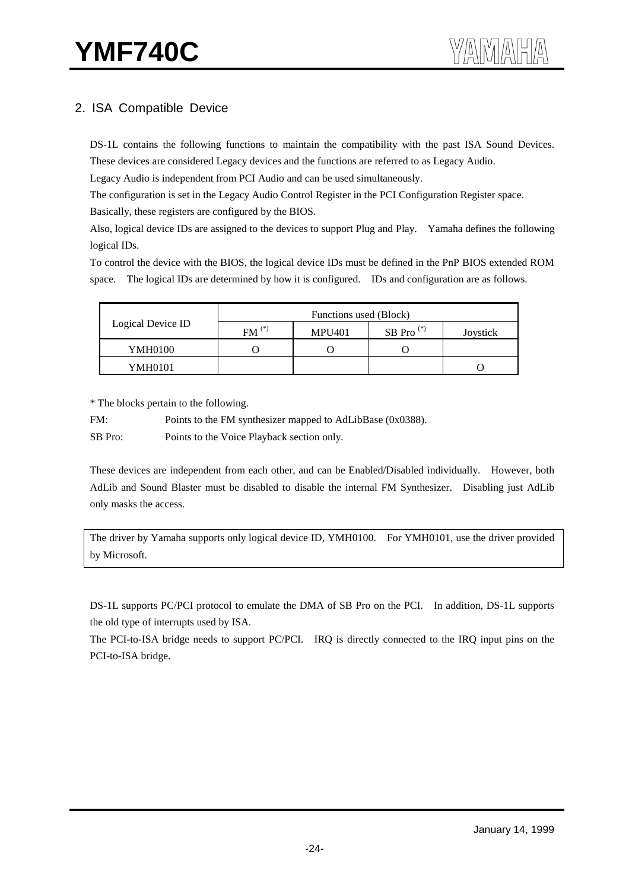# 2. ISA Compatible Device

DS-1L contains the following functions to maintain the compatibility with the past ISA Sound Devices. These devices are considered Legacy devices and the functions are referred to as Legacy Audio.

Legacy Audio is independent from PCI Audio and can be used simultaneously.

The configuration is set in the Legacy Audio Control Register in the PCI Configuration Register space.

Basically, these registers are configured by the BIOS.

Also, logical device IDs are assigned to the devices to support Plug and Play. Yamaha defines the following logical IDs.

To control the device with the BIOS, the logical device IDs must be defined in the PnP BIOS extended ROM space. The logical IDs are determined by how it is configured. IDs and configuration are as follows.

|                   | Functions used (Block) |               |              |          |  |  |  |  |  |
|-------------------|------------------------|---------------|--------------|----------|--|--|--|--|--|
| Logical Device ID | $FM(*)$                | <b>MPU401</b> | SB Pro $(*)$ | Joystick |  |  |  |  |  |
| <b>YMH0100</b>    |                        |               |              |          |  |  |  |  |  |
| YMH0101           |                        |               |              |          |  |  |  |  |  |

\* The blocks pertain to the following.

FM: Points to the FM synthesizer mapped to AdLibBase (0x0388).

SB Pro: Points to the Voice Playback section only.

These devices are independent from each other, and can be Enabled/Disabled individually. However, both AdLib and Sound Blaster must be disabled to disable the internal FM Synthesizer. Disabling just AdLib only masks the access.

The driver by Yamaha supports only logical device ID, YMH0100. For YMH0101, use the driver provided by Microsoft.

DS-1L supports PC/PCI protocol to emulate the DMA of SB Pro on the PCI. In addition, DS-1L supports the old type of interrupts used by ISA.

The PCI-to-ISA bridge needs to support PC/PCI. IRQ is directly connected to the IRQ input pins on the PCI-to-ISA bridge.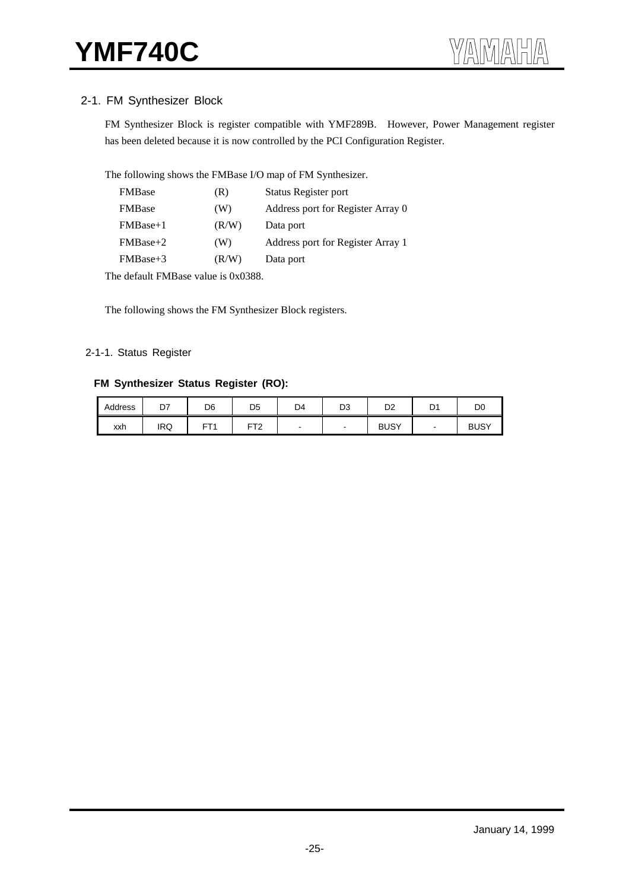### 2-1. FM Synthesizer Block

FM Synthesizer Block is register compatible with YMF289B. However, Power Management register has been deleted because it is now controlled by the PCI Configuration Register.

The following shows the FMBase I/O map of FM Synthesizer.

| <b>FMBase</b>  | (R)   | Status Register port              |
|----------------|-------|-----------------------------------|
| <b>FMB</b> ase | (W)   | Address port for Register Array 0 |
| $FMBase+1$     | (R/W) | Data port                         |
| $FMBase+2$     | (W)   | Address port for Register Array 1 |
| $FMBase+3$     | (R/W) | Data port                         |

The default FMBase value is 0x0388.

The following shows the FM Synthesizer Block registers.

#### 2-1-1. Status Register

#### **FM Synthesizer Status Register (RO):**

| Address | D7         | D <sub>6</sub> | D <sub>5</sub>  | D4 | D <sub>3</sub> | D <sub>2</sub> | D <sup>1</sup> | D <sub>0</sub> |
|---------|------------|----------------|-----------------|----|----------------|----------------|----------------|----------------|
| xxh     | <b>IRQ</b> | CT.            | FT <sub>2</sub> |    | -              | <b>BUSY</b>    | -              | <b>BUSY</b>    |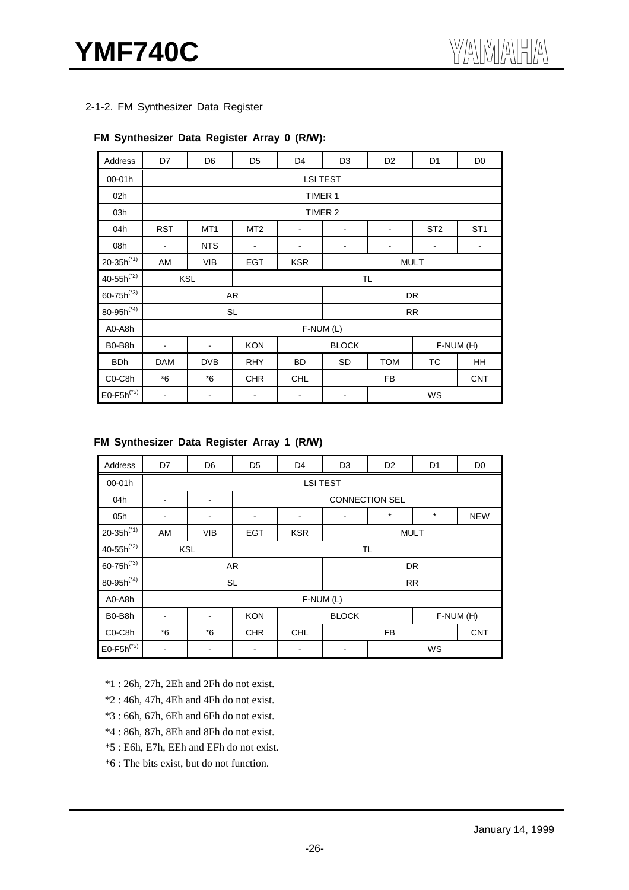2-1-2. FM Synthesizer Data Register

#### **FM Synthesizer Data Register Array 0 (R/W):**

| Address                          | D7                       | D <sub>6</sub>               | D <sub>5</sub>  | D <sub>4</sub>               | D <sub>3</sub>                             | D <sub>2</sub>               | D <sub>1</sub>  | D <sub>0</sub>  |  |
|----------------------------------|--------------------------|------------------------------|-----------------|------------------------------|--------------------------------------------|------------------------------|-----------------|-----------------|--|
| 00-01h                           |                          |                              |                 |                              | <b>LSI TEST</b>                            |                              |                 |                 |  |
| 02h                              |                          |                              |                 |                              | TIMER 1                                    |                              |                 |                 |  |
| 03h                              |                          |                              |                 |                              | TIMER 2                                    |                              |                 |                 |  |
| 04h                              | <b>RST</b>               | MT <sub>1</sub>              | MT <sub>2</sub> | $\qquad \qquad \blacksquare$ |                                            | $\qquad \qquad \blacksquare$ | ST <sub>2</sub> | ST <sub>1</sub> |  |
| 08h                              | $\blacksquare$           | <b>NTS</b>                   | ۰               |                              | $\blacksquare$<br>-<br>$\blacksquare$<br>- |                              |                 |                 |  |
| $20 - 35h^{(*1)}$                | AM                       | <b>VIB</b>                   | <b>EGT</b>      | <b>KSR</b>                   | <b>MULT</b>                                |                              |                 |                 |  |
| $40 - 55h^{(*)}$                 |                          | <b>KSL</b>                   |                 |                              |                                            | TL                           |                 |                 |  |
| $60 - 75h^{(*)}$                 |                          |                              | AR              |                              |                                            |                              | <b>DR</b>       |                 |  |
| 80-95 $h^{(*4)}$                 |                          |                              | <b>SL</b>       |                              | <b>RR</b>                                  |                              |                 |                 |  |
| A0-A8h                           |                          |                              |                 |                              | F-NUM (L)                                  |                              |                 |                 |  |
| B0-B8h                           | $\blacksquare$           | $\blacksquare$               | <b>KON</b>      |                              | <b>BLOCK</b><br>F-NUM (H)                  |                              |                 |                 |  |
| <b>BDh</b>                       | <b>DAM</b>               | <b>DVB</b>                   | <b>RHY</b>      | BD                           | <b>SD</b><br><b>TOM</b><br>ТC              |                              |                 | HH              |  |
| C <sub>0</sub> -C <sub>8</sub> h | $*6$                     | $*6$                         | <b>CHR</b>      | <b>CHL</b>                   |                                            | <b>FB</b>                    |                 | <b>CNT</b>      |  |
| $E0-F5h^{(*5)}$                  | $\overline{\phantom{a}}$ | $\qquad \qquad \blacksquare$ | ٠               | -                            |                                            |                              | WS              |                 |  |

#### **FM Synthesizer Data Register Array 1 (R/W)**

| Address                          | D7                           | D <sub>6</sub>               | D <sub>5</sub> | D <sub>4</sub>        | D <sub>3</sub>                         | D <sub>2</sub> | D1        | D <sub>0</sub> |  |  |  |  |  |
|----------------------------------|------------------------------|------------------------------|----------------|-----------------------|----------------------------------------|----------------|-----------|----------------|--|--|--|--|--|
| 00-01h                           |                              |                              |                | <b>LSI TEST</b>       |                                        |                |           |                |  |  |  |  |  |
| 04h                              | $\qquad \qquad \blacksquare$ | $\blacksquare$               |                | <b>CONNECTION SEL</b> |                                        |                |           |                |  |  |  |  |  |
| 05h                              | $\overline{\phantom{a}}$     | $\qquad \qquad \blacksquare$ |                |                       | $^\star$<br>$\star$<br><b>NEW</b><br>۰ |                |           |                |  |  |  |  |  |
| $20 - 35h^{(*1)}$                | AM                           | <b>VIB</b>                   | <b>EGT</b>     | <b>KSR</b>            | <b>MULT</b>                            |                |           |                |  |  |  |  |  |
| $40 - 55h^{(*)}$                 |                              | <b>KSL</b>                   | TL             |                       |                                        |                |           |                |  |  |  |  |  |
| $60 - 75h^{(*)}$                 |                              |                              | AR             |                       |                                        |                | <b>DR</b> |                |  |  |  |  |  |
| $80 - 95h^{(*4)}$                |                              |                              | <b>SL</b>      |                       |                                        |                | <b>RR</b> |                |  |  |  |  |  |
| A0-A8h                           |                              |                              |                |                       | $F-NUM(L)$                             |                |           |                |  |  |  |  |  |
| B0-B8h                           | $\blacksquare$               | $\blacksquare$               | <b>KON</b>     |                       | <b>BLOCK</b><br>F-NUM (H)              |                |           |                |  |  |  |  |  |
| C <sub>0</sub> -C <sub>8</sub> h | $*6$                         | $*6$                         | <b>CHR</b>     | <b>CHL</b>            | FB                                     |                |           | <b>CNT</b>     |  |  |  |  |  |
| $E0-F5h^{(*5)}$                  | $\overline{\phantom{a}}$     | $\qquad \qquad \blacksquare$ |                | -                     | -                                      |                | WS        |                |  |  |  |  |  |

\*1 : 26h, 27h, 2Eh and 2Fh do not exist.

\*2 : 46h, 47h, 4Eh and 4Fh do not exist.

\*3 : 66h, 67h, 6Eh and 6Fh do not exist.

\*4 : 86h, 87h, 8Eh and 8Fh do not exist.

\*5 : E6h, E7h, EEh and EFh do not exist.

\*6 : The bits exist, but do not function.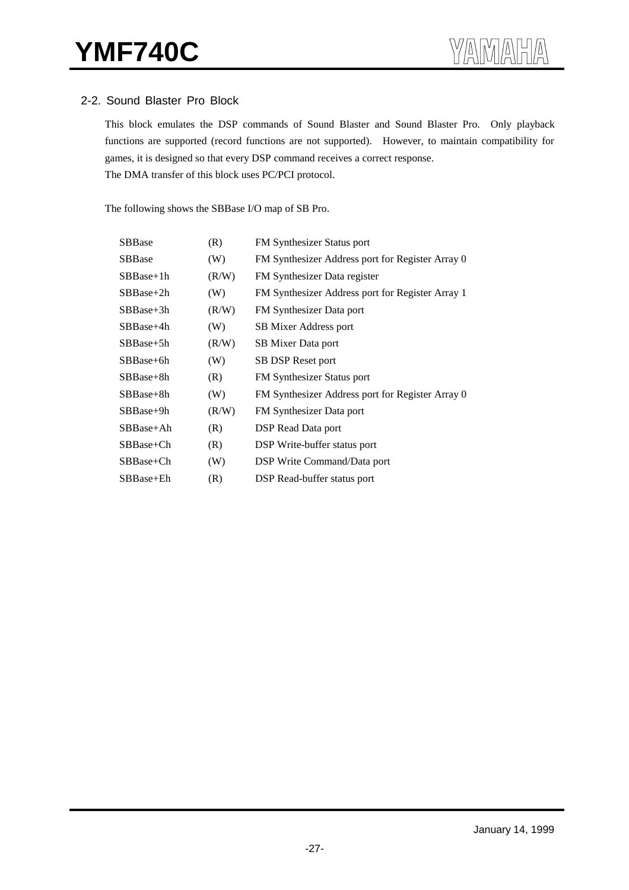#### 2-2. Sound Blaster Pro Block

This block emulates the DSP commands of Sound Blaster and Sound Blaster Pro. Only playback functions are supported (record functions are not supported). However, to maintain compatibility for games, it is designed so that every DSP command receives a correct response. The DMA transfer of this block uses PC/PCI protocol.

The following shows the SBBase I/O map of SB Pro.

| SBBase         | (R)   | <b>FM</b> Synthesizer Status port                |
|----------------|-------|--------------------------------------------------|
| <b>SBB</b> ase | (W)   | FM Synthesizer Address port for Register Array 0 |
| $SBBase+1h$    | (R/W) | FM Synthesizer Data register                     |
| $SBBase+2h$    | (W)   | FM Synthesizer Address port for Register Array 1 |
| $SBBase+3h$    | (R/W) | FM Synthesizer Data port                         |
| $SBBase+4h$    | (W)   | SB Mixer Address port                            |
| $SBBase+5h$    | (R/W) | SB Mixer Data port                               |
| SBBase+6h      | (W)   | SB DSP Reset port                                |
| $SBBase+8h$    | (R)   | FM Synthesizer Status port                       |
| SBBase+8h      | (W)   | FM Synthesizer Address port for Register Array 0 |
| $SBBase+9h$    | (R/W) | FM Synthesizer Data port                         |
| $SBBase+Ah$    | (R)   | DSP Read Data port                               |
| SBBase+Ch      | (R)   | DSP Write-buffer status port                     |
| SBBase+Ch      | (W)   | DSP Write Command/Data port                      |
| SBBase+Eh      | (R)   | DSP Read-buffer status port                      |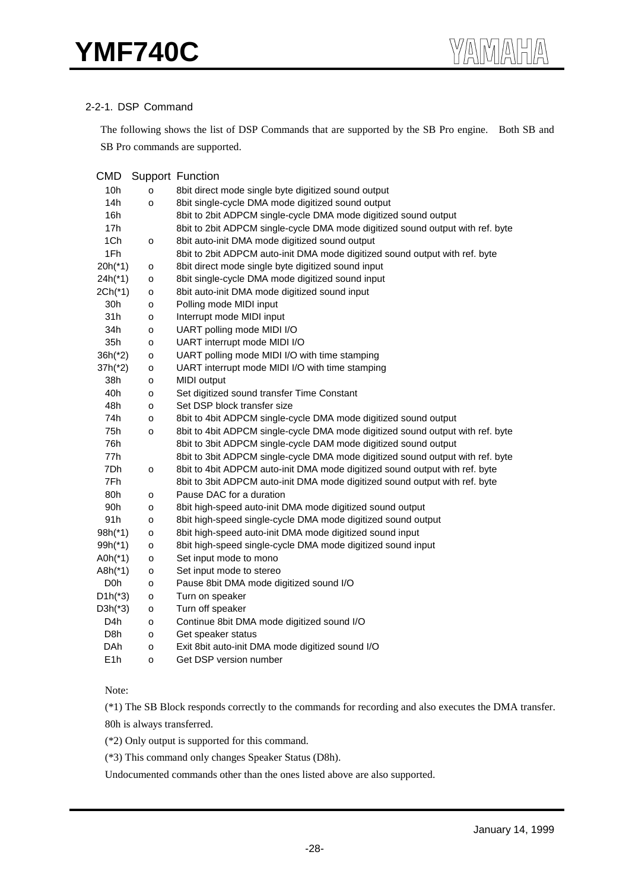#### 2-2-1. DSP Command

The following shows the list of DSP Commands that are supported by the SB Pro engine. Both SB and SB Pro commands are supported.

| <b>CMD</b>       |                     | <b>Support Function</b>                                                        |
|------------------|---------------------|--------------------------------------------------------------------------------|
| 10h              | o                   | 8bit direct mode single byte digitized sound output                            |
| 14h              | o                   | 8bit single-cycle DMA mode digitized sound output                              |
| 16h              |                     | 8bit to 2bit ADPCM single-cycle DMA mode digitized sound output                |
| 17h              |                     | 8bit to 2bit ADPCM single-cycle DMA mode digitized sound output with ref. byte |
| 1Ch              | o                   | 8bit auto-init DMA mode digitized sound output                                 |
| 1Fh              |                     | 8bit to 2bit ADPCM auto-init DMA mode digitized sound output with ref. byte    |
| $20h(*1)$        | o                   | 8bit direct mode single byte digitized sound input                             |
| $24h(*1)$        | o                   | 8bit single-cycle DMA mode digitized sound input                               |
| $2Ch(*1)$        | o                   | 8bit auto-init DMA mode digitized sound input                                  |
| 30h              | o                   | Polling mode MIDI input                                                        |
| 31h              | $\mathsf{o}$        | Interrupt mode MIDI input                                                      |
| 34h              | o                   | UART polling mode MIDI I/O                                                     |
| 35h              | o                   | UART interrupt mode MIDI I/O                                                   |
| $36h(^{*}2)$     | o                   | UART polling mode MIDI I/O with time stamping                                  |
| $37h(^{*}2)$     | o                   | UART interrupt mode MIDI I/O with time stamping                                |
| 38h              | o                   | MIDI output                                                                    |
| 40h              | o                   | Set digitized sound transfer Time Constant                                     |
| 48h              | $\mathsf{o}\xspace$ | Set DSP block transfer size                                                    |
| 74h              | $\mathsf{o}\xspace$ | 8bit to 4bit ADPCM single-cycle DMA mode digitized sound output                |
| 75h              | $\mathsf{o}\xspace$ | 8bit to 4bit ADPCM single-cycle DMA mode digitized sound output with ref. byte |
| 76h              |                     | 8bit to 3bit ADPCM single-cycle DAM mode digitized sound output                |
| 77h              |                     | 8bit to 3bit ADPCM single-cycle DMA mode digitized sound output with ref. byte |
| 7Dh              | $\mathsf{o}\xspace$ | 8bit to 4bit ADPCM auto-init DMA mode digitized sound output with ref. byte    |
| 7Fh              |                     | 8bit to 3bit ADPCM auto-init DMA mode digitized sound output with ref. byte    |
| 80h              | $\mathsf{o}\xspace$ | Pause DAC for a duration                                                       |
| 90h              | $\mathsf{o}\xspace$ | 8bit high-speed auto-init DMA mode digitized sound output                      |
| 91 <sub>h</sub>  | o                   | 8bit high-speed single-cycle DMA mode digitized sound output                   |
| $98h(*1)$        | o                   | 8bit high-speed auto-init DMA mode digitized sound input                       |
| $99h(*1)$        | o                   | 8bit high-speed single-cycle DMA mode digitized sound input                    |
| $A0h(*1)$        | o                   | Set input mode to mono                                                         |
| $A8h(*1)$        | o                   | Set input mode to stereo                                                       |
| D <sub>0</sub> h | o                   | Pause 8bit DMA mode digitized sound I/O                                        |
| $D1h(^{*}3)$     | o                   | Turn on speaker                                                                |
| $D3h(^*3)$       | o                   | Turn off speaker                                                               |
| D4h              | $\mathsf{o}\xspace$ | Continue 8bit DMA mode digitized sound I/O                                     |
| D8h              | o                   | Get speaker status                                                             |
| DAh              | o                   | Exit 8bit auto-init DMA mode digitized sound I/O                               |
| E <sub>1</sub> h | o                   | Get DSP version number                                                         |

Note:

(\*1) The SB Block responds correctly to the commands for recording and also executes the DMA transfer. 80h is always transferred.

(\*2) Only output is supported for this command.

(\*3) This command only changes Speaker Status (D8h).

Undocumented commands other than the ones listed above are also supported.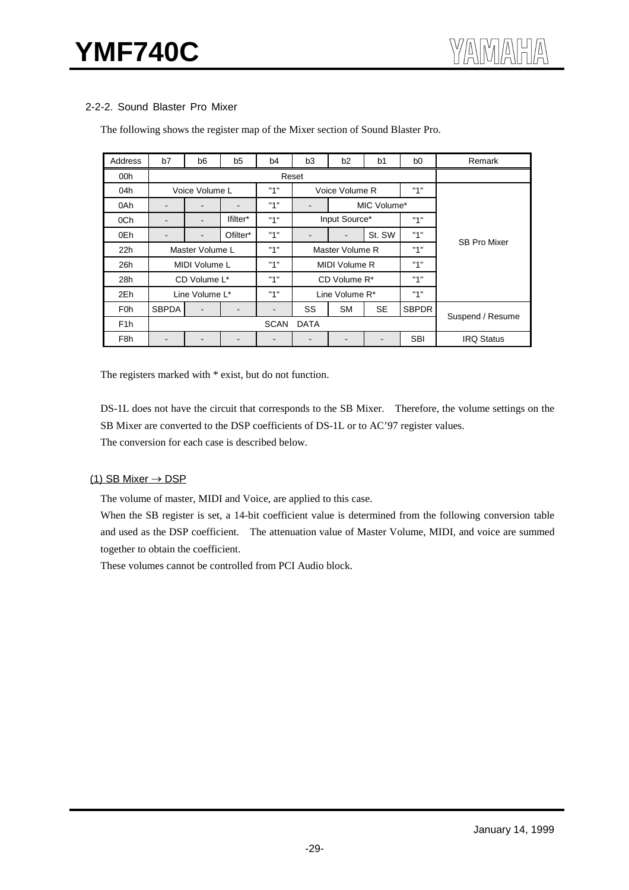#### 2-2-2. Sound Blaster Pro Mixer

| Address          | b7                           | b <sub>6</sub>           | b <sub>5</sub> | b4          | b <sub>2</sub><br>b <sub>0</sub><br>b <sub>3</sub><br>b <sub>1</sub> |                          |           | Remark       |                     |  |  |
|------------------|------------------------------|--------------------------|----------------|-------------|----------------------------------------------------------------------|--------------------------|-----------|--------------|---------------------|--|--|
| 00h              |                              |                          |                |             | Reset                                                                |                          |           |              |                     |  |  |
| 04h              |                              | Voice Volume L           |                | "1"         |                                                                      | Voice Volume R           |           | "1"          |                     |  |  |
| 0Ah              | $\qquad \qquad \blacksquare$ | $\blacksquare$           | $\blacksquare$ | "1"         | $\overline{\phantom{a}}$                                             | MIC Volume*              |           |              |                     |  |  |
| 0Ch              | -                            | $\blacksquare$           | lfilter*       | "1"         |                                                                      | Input Source*            |           | "1"          |                     |  |  |
| 0Eh              |                              | $\overline{\phantom{0}}$ | Ofilter*       | "1"         | -                                                                    | $\overline{\phantom{0}}$ | St. SW    | "1"          | <b>SB Pro Mixer</b> |  |  |
| 22h              | Master Volume L              |                          |                | "1"         |                                                                      | Master Volume R          |           | "1"          |                     |  |  |
| 26h              |                              | MIDI Volume L            |                | "1"         |                                                                      | MIDI Volume R            |           | "1"          |                     |  |  |
| 28h              |                              | CD Volume L*             |                | "1"         |                                                                      | CD Volume R*             |           | "1"          |                     |  |  |
| 2Eh              |                              | Line Volume L*           |                | "1"         |                                                                      | Line Volume R*           |           | "1"          |                     |  |  |
| F <sub>0</sub> h | <b>SBPDA</b>                 | $\overline{a}$           |                | -           | SS                                                                   | <b>SM</b>                | <b>SE</b> | <b>SBPDR</b> |                     |  |  |
| F <sub>1</sub> h |                              |                          |                | <b>SCAN</b> | <b>DATA</b>                                                          |                          |           |              | Suspend / Resume    |  |  |
| F <sub>8</sub> h |                              |                          |                |             | $\overline{\phantom{0}}$                                             |                          |           | <b>SBI</b>   | <b>IRQ Status</b>   |  |  |

The following shows the register map of the Mixer section of Sound Blaster Pro.

The registers marked with  $*$  exist, but do not function.

DS-1L does not have the circuit that corresponds to the SB Mixer. Therefore, the volume settings on the SB Mixer are converted to the DSP coefficients of DS-1L or to AC'97 register values. The conversion for each case is described below.

#### (1) SB Mixer  $\rightarrow$  DSP

The volume of master, MIDI and Voice, are applied to this case.

When the SB register is set, a 14-bit coefficient value is determined from the following conversion table and used as the DSP coefficient. The attenuation value of Master Volume, MIDI, and voice are summed together to obtain the coefficient.

These volumes cannot be controlled from PCI Audio block.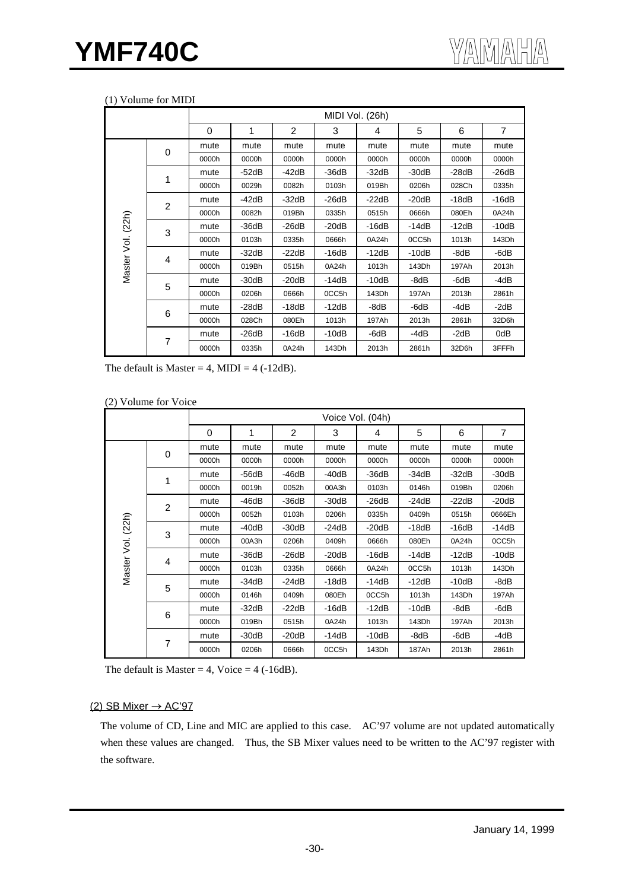#### (1) Volume for MIDI

|                   |                |       |         |                | MIDI Vol. (26h) |         |         |         |                |
|-------------------|----------------|-------|---------|----------------|-----------------|---------|---------|---------|----------------|
|                   |                | 0     | 1       | $\overline{2}$ | 3               | 4       | 5       | 6       | $\overline{7}$ |
|                   |                | mute  | mute    | mute           | mute            | mute    | mute    | mute    | mute           |
|                   | 0              | 0000h | 0000h   | 0000h          | 0000h           | 0000h   | 0000h   | 0000h   | 0000h          |
|                   | 1              | mute  | $-52dB$ | $-42dB$        | $-36dB$         | $-32dB$ | $-30dB$ | $-28dB$ | $-26dB$        |
|                   |                | 0000h | 0029h   | 0082h          | 0103h           | 019Bh   | 0206h   | 028Ch   | 0335h          |
|                   | $\overline{2}$ | mute  | $-42dB$ | $-32dB$        | $-26dB$         | $-22dB$ | $-20dB$ | $-18dB$ | $-16dB$        |
|                   |                | 0000h | 0082h   | 019Bh          | 0335h           | 0515h   | 0666h   | 080Eh   | 0A24h          |
| Master Vol. (22h) | 3              | mute  | $-36dB$ | $-26dB$        | $-20dB$         | $-16dB$ | -14dB   | $-12dB$ | $-10dB$        |
|                   |                | 0000h | 0103h   | 0335h          | 0666h           | 0A24h   | 0CC5h   | 1013h   | 143Dh          |
|                   | 4              | mute  | $-32dB$ | $-22dB$        | $-16dB$         | $-12dB$ | $-10dB$ | -8dB    | $-6dB$         |
|                   |                | 0000h | 019Bh   | 0515h          | 0A24h           | 1013h   | 143Dh   | 197Ah   | 2013h          |
|                   | 5              | mute  | $-30dB$ | $-20dB$        | $-14dB$         | $-10dB$ | -8dB    | -6dB    | -4dB           |
|                   |                | 0000h | 0206h   | 0666h          | 0CC5h           | 143Dh   | 197Ah   | 2013h   | 2861h          |
|                   |                | mute  | $-28dB$ | $-18dB$        | $-12dB$         | -8dB    | -6dB    | $-4dB$  | $-2dB$         |
|                   | 6              | 0000h | 028Ch   | 080Eh          | 1013h           | 197Ah   | 2013h   | 2861h   | 32D6h          |
|                   |                | mute  | -26dB   | $-16dB$        | -10dB           | -6dB    | -4dB    | $-2dB$  | 0dB            |
|                   | 7              | 0000h | 0335h   | 0A24h          | 143Dh           | 2013h   | 2861h   | 32D6h   | 3FFFh          |

The default is Master = 4, MIDI =  $4$  (-12dB).

#### (2) Volume for Voice

| $\overline{\phantom{a}}$ |                |          |         |         |                  |         |         |         |                |
|--------------------------|----------------|----------|---------|---------|------------------|---------|---------|---------|----------------|
|                          |                |          |         |         | Voice Vol. (04h) |         |         |         |                |
|                          |                | $\Omega$ | 1       | 2       | 3                | 4       | 5       | 6       | $\overline{7}$ |
|                          |                | mute     | mute    | mute    | mute             | mute    | mute    | mute    | mute           |
|                          | 0              | 0000h    | 0000h   | 0000h   | 0000h            | 0000h   | 0000h   | 0000h   | 0000h          |
| (22h)                    | 1              | mute     | $-56dB$ | $-46dB$ | $-40dB$          | $-36dB$ | -34dB   | $-32dB$ | $-30dB$        |
|                          |                | 0000h    | 0019h   | 0052h   | 00A3h            | 0103h   | 0146h   | 019Bh   | 0206h          |
|                          | $\overline{2}$ | mute     | $-46dB$ | $-36dB$ | $-30dB$          | $-26dB$ | $-24dB$ | $-22dB$ | $-20dB$        |
|                          |                | 0000h    | 0052h   | 0103h   | 0206h            | 0335h   | 0409h   | 0515h   | 0666Eh         |
|                          | 3              | mute     | $-40dB$ | $-30dB$ | $-24dB$          | $-20dB$ | -18dB   | $-16dB$ | $-14dB$        |
| si<br>S                  |                | 0000h    | 00A3h   | 0206h   | 0409h            | 0666h   | 080Eh   | 0A24h   | 0CC5h          |
|                          |                | mute     | $-36dB$ | $-26dB$ | $-20dB$          | $-16dB$ | -14dB   | $-12dB$ | $-10dB$        |
| Master                   | 4              | 0000h    | 0103h   | 0335h   | 0666h            | 0A24h   | 0CC5h   | 1013h   | 143Dh          |
|                          |                | mute     | $-34dB$ | $-24dB$ | $-18dB$          | $-14dB$ | $-12dB$ | $-10dB$ | -8dB           |
|                          | 5              | 0000h    | 0146h   | 0409h   | 080Eh            | 0CC5h   | 1013h   | 143Dh   | 197Ah          |
|                          |                | mute     | $-32dB$ | $-22dB$ | -16dB            | $-12dB$ | $-10dB$ | -8dB    | -6dB           |
|                          | 6              | 0000h    | 019Bh   | 0515h   | 0A24h            | 1013h   | 143Dh   | 197Ah   | 2013h          |
|                          |                | mute     | $-30dB$ | $-20dB$ | -14dB            | $-10dB$ | -8dB    | -6dB    | -4dB           |
|                          | 7              | 0000h    | 0206h   | 0666h   | 0CC5h            | 143Dh   | 187Ah   | 2013h   | 2861h          |

The default is Master = 4, Voice =  $4$  (-16dB).

#### (2) SB Mixer  $\rightarrow$  AC'97

The volume of CD, Line and MIC are applied to this case. AC'97 volume are not updated automatically when these values are changed. Thus, the SB Mixer values need to be written to the AC'97 register with the software.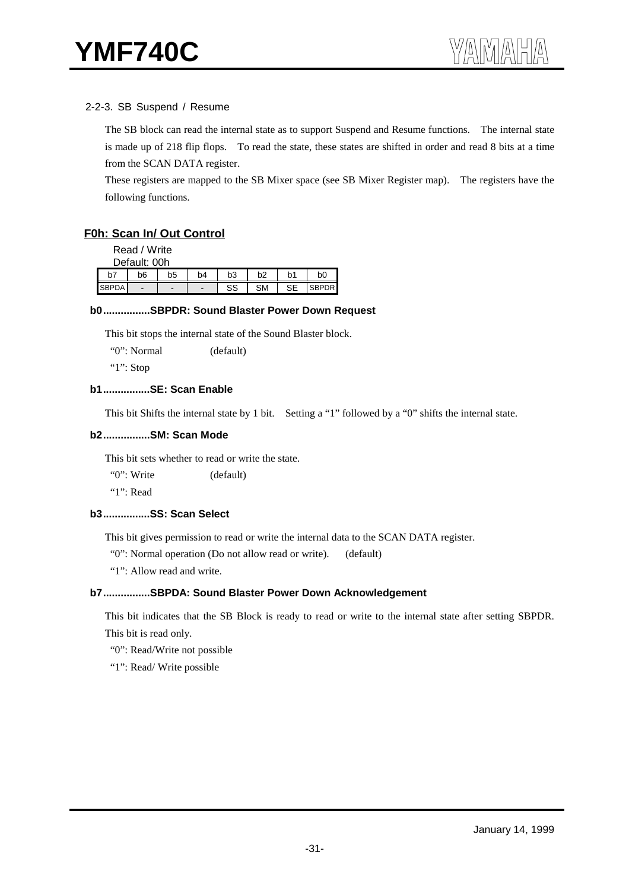#### 2-2-3. SB Suspend / Resume

The SB block can read the internal state as to support Suspend and Resume functions. The internal state is made up of 218 flip flops. To read the state, these states are shifted in order and read 8 bits at a time from the SCAN DATA register.

These registers are mapped to the SB Mixer space (see SB Mixer Register map). The registers have the following functions.

#### **F0h: Scan In/ Out Control**

Read / Write

|    | Default: 00h   |                |                          |           |                |    |                |  |  |  |  |  |  |
|----|----------------|----------------|--------------------------|-----------|----------------|----|----------------|--|--|--|--|--|--|
| b١ | b6             | b <sub>5</sub> | b <sub>4</sub>           | b3        | b <sub>2</sub> | b1 | b <sub>0</sub> |  |  |  |  |  |  |
|    | $\blacksquare$ | -              | $\overline{\phantom{0}}$ | rn.<br>ວວ | SΜ             | oг |                |  |  |  |  |  |  |

#### **b0................SBPDR: Sound Blaster Power Down Request**

This bit stops the internal state of the Sound Blaster block.

"0": Normal (default)

"1": Stop

#### **b1................SE: Scan Enable**

This bit Shifts the internal state by 1 bit. Setting a "1" followed by a "0" shifts the internal state.

#### **b2................SM: Scan Mode**

This bit sets whether to read or write the state.

"0": Write (default)

"1": Read

#### **b3................SS: Scan Select**

This bit gives permission to read or write the internal data to the SCAN DATA register.

"0": Normal operation (Do not allow read or write). (default)

"1": Allow read and write.

#### **b7................SBPDA: Sound Blaster Power Down Acknowledgement**

This bit indicates that the SB Block is ready to read or write to the internal state after setting SBPDR. This bit is read only.

"0": Read/Write not possible

"1": Read/ Write possible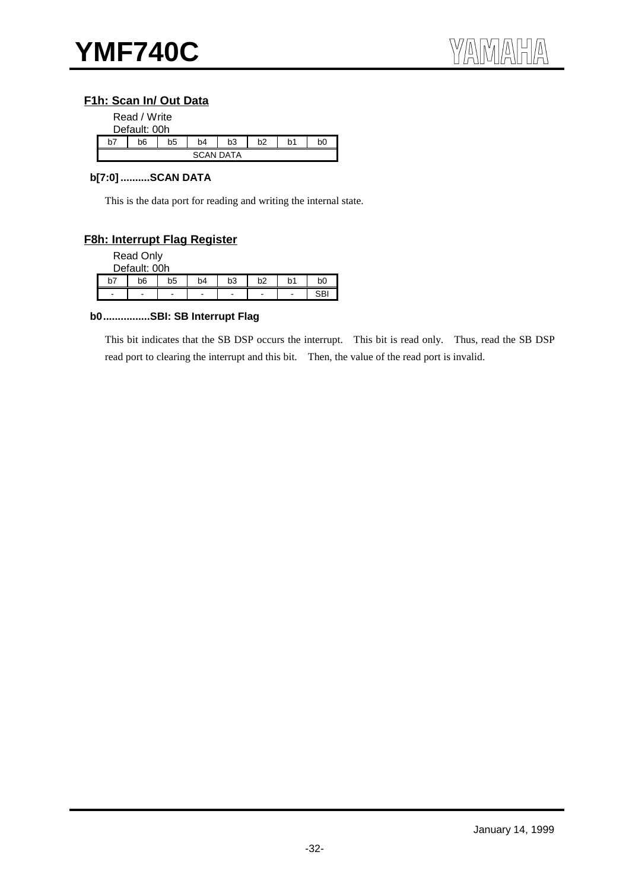## **F1h: Scan In/ Out Data**

|    | Read / Write<br>Default: 00h |    |                  |                |    |    |                |
|----|------------------------------|----|------------------|----------------|----|----|----------------|
| b7 | b6                           | b5 | b4               | b <sub>3</sub> | b2 | b1 | b <sub>0</sub> |
|    |                              |    | <b>SCAN DATA</b> |                |    |    |                |

#### **b[7:0] ..........SCAN DATA**

This is the data port for reading and writing the internal state.

#### **F8h: Interrupt Flag Register**

Read Only

|    | Default: 00h                 |                |                |                              |    |    |     |
|----|------------------------------|----------------|----------------|------------------------------|----|----|-----|
| b7 | b6                           | b <sub>5</sub> | b <sub>4</sub> | b <sub>3</sub>               | b2 | b1 | bC  |
| -  | $\qquad \qquad \blacksquare$ | -              | -              | $\qquad \qquad \blacksquare$ | -  | -  | CD. |

#### **b0................SBI: SB Interrupt Flag**

This bit indicates that the SB DSP occurs the interrupt. This bit is read only. Thus, read the SB DSP read port to clearing the interrupt and this bit. Then, the value of the read port is invalid.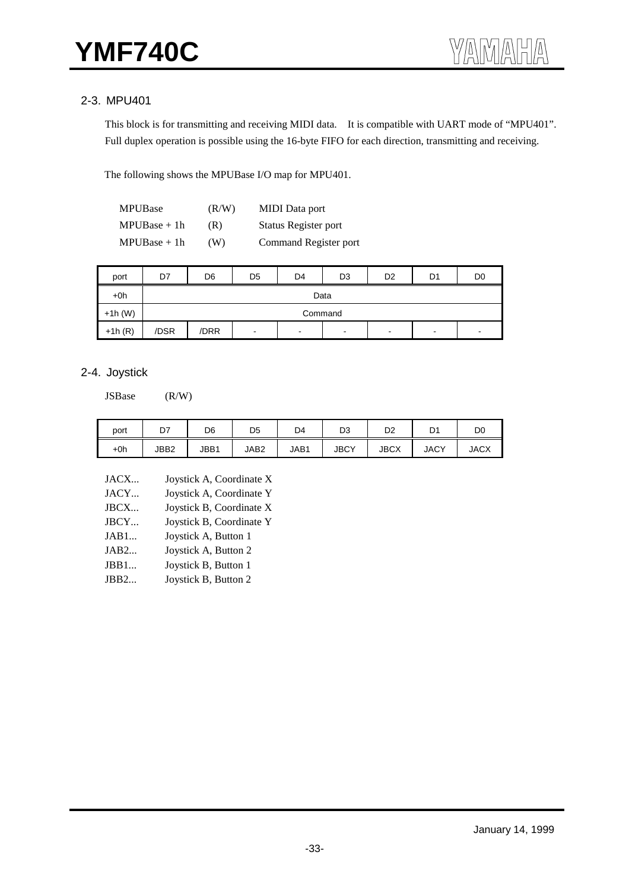# 2-3. MPU401

This block is for transmitting and receiving MIDI data. It is compatible with UART mode of "MPU401". Full duplex operation is possible using the 16-byte FIFO for each direction, transmitting and receiving.

The following shows the MPUBase I/O map for MPU401.

| <b>MPUBase</b> | (R/W) | <b>MIDI</b> Data port |
|----------------|-------|-----------------------|
| $MPUBase + 1h$ | (R)   | Status Register port  |
| $MPUBase + 1h$ | (W)   | Command Register port |

| port      | D7   | D <sub>6</sub> | D <sub>5</sub> | D <sub>4</sub> | D <sub>3</sub> | D <sub>2</sub> | D <sub>1</sub>           | D <sub>0</sub>           |  |  |  |
|-----------|------|----------------|----------------|----------------|----------------|----------------|--------------------------|--------------------------|--|--|--|
| $+0h$     |      | Data           |                |                |                |                |                          |                          |  |  |  |
| $+1h$ (W) |      | Command        |                |                |                |                |                          |                          |  |  |  |
| $+1h(R)$  | /DSR | /DRR           | $\blacksquare$ | $\blacksquare$ | $\,$           | $\blacksquare$ | $\overline{\phantom{a}}$ | $\overline{\phantom{0}}$ |  |  |  |

## 2-4. Joystick

JSBase (R/W)

| port  | D7   | D6   | D <sub>5</sub> | D4   | D3          | D2          | D1          | D <sub>0</sub> |
|-------|------|------|----------------|------|-------------|-------------|-------------|----------------|
| $+0h$ | JBB2 | JBB1 | JAB2           | JAB1 | <b>JBCY</b> | <b>JBCX</b> | <b>JACY</b> | <b>JACX</b>    |

| JACX | Joystick A, Coordinate X |
|------|--------------------------|
| JACY | Joystick A, Coordinate Y |
| JBCX | Joystick B, Coordinate X |
| JBCY | Joystick B, Coordinate Y |
| JAB1 | Joystick A, Button 1     |
| JAB2 | Joystick A, Button 2     |
| JBB1 | Joystick B, Button 1     |
| JBB2 | Joystick B, Button 2     |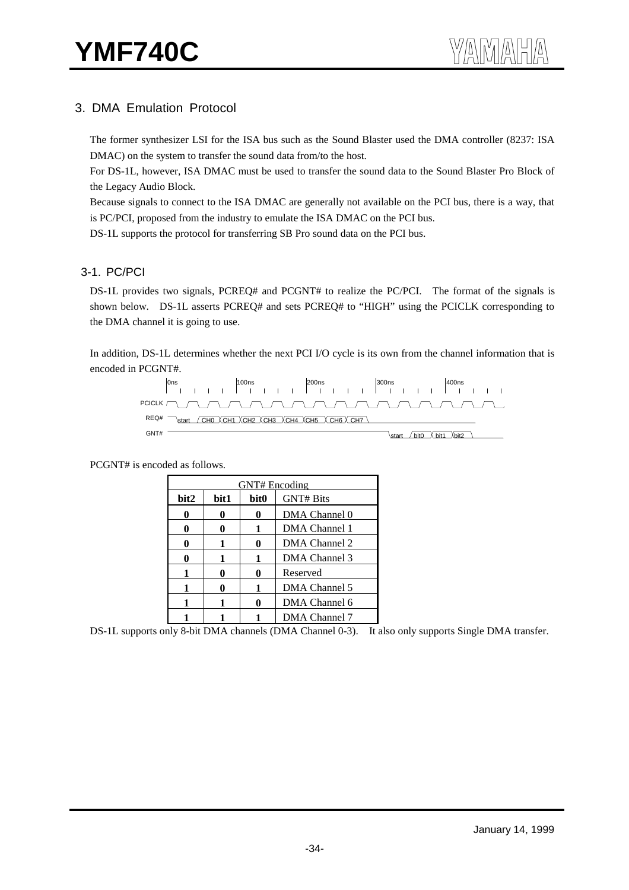# 3. DMA Emulation Protocol

The former synthesizer LSI for the ISA bus such as the Sound Blaster used the DMA controller (8237: ISA DMAC) on the system to transfer the sound data from/to the host.

For DS-1L, however, ISA DMAC must be used to transfer the sound data to the Sound Blaster Pro Block of the Legacy Audio Block.

Because signals to connect to the ISA DMAC are generally not available on the PCI bus, there is a way, that is PC/PCI, proposed from the industry to emulate the ISA DMAC on the PCI bus.

DS-1L supports the protocol for transferring SB Pro sound data on the PCI bus.

#### 3-1. PC/PCI

DS-1L provides two signals, PCREQ# and PCGNT# to realize the PC/PCI. The format of the signals is shown below. DS-1L asserts PCREQ# and sets PCREQ# to "HIGH" using the PCICLK corresponding to the DMA channel it is going to use.

In addition, DS-1L determines whether the next PCI I/O cycle is its own from the channel information that is encoded in PCGNT#.



PCGNT# is encoded as follows.

|      | GNT# Encoding |                  |                  |  |  |  |  |
|------|---------------|------------------|------------------|--|--|--|--|
| bit2 | bit1          | bit <sub>0</sub> | <b>GNT# Bits</b> |  |  |  |  |
|      |               | 0                | DMA Channel 0    |  |  |  |  |
| 0    |               | 1                | DMA Channel 1    |  |  |  |  |
|      |               | 0                | DMA Channel 2    |  |  |  |  |
| 0    |               | 1                | DMA Channel 3    |  |  |  |  |
| 1    |               | 0                | Reserved         |  |  |  |  |
| 1    |               | 1                | DMA Channel 5    |  |  |  |  |
|      |               |                  | DMA Channel 6    |  |  |  |  |
|      |               |                  | DMA Channel 7    |  |  |  |  |

DS-1L supports only 8-bit DMA channels (DMA Channel 0-3). It also only supports Single DMA transfer.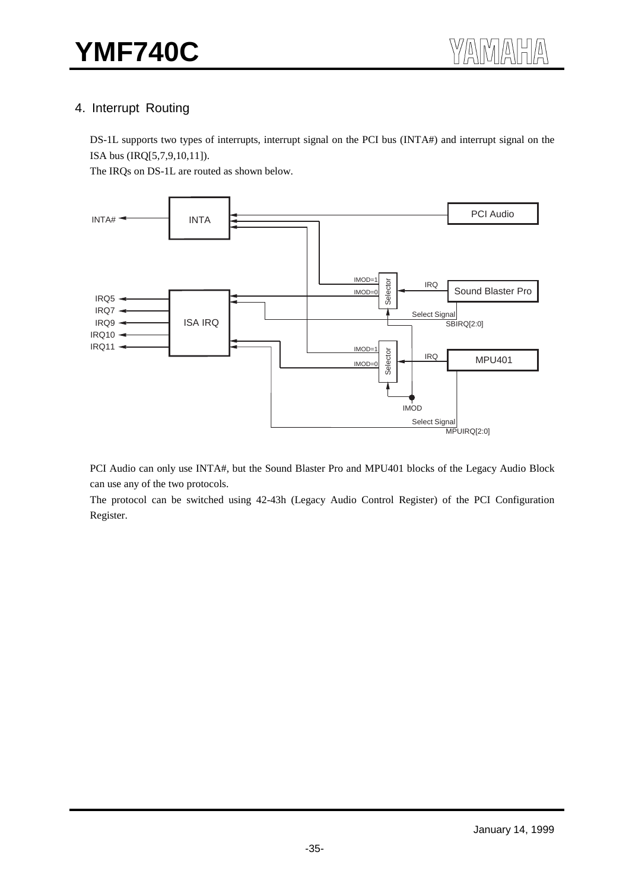# 4. Interrupt Routing

DS-1L supports two types of interrupts, interrupt signal on the PCI bus (INTA#) and interrupt signal on the ISA bus (IRQ[5,7,9,10,11]).

The IRQs on DS-1L are routed as shown below.



PCI Audio can only use INTA#, but the Sound Blaster Pro and MPU401 blocks of the Legacy Audio Block can use any of the two protocols.

The protocol can be switched using 42-43h (Legacy Audio Control Register) of the PCI Configuration Register.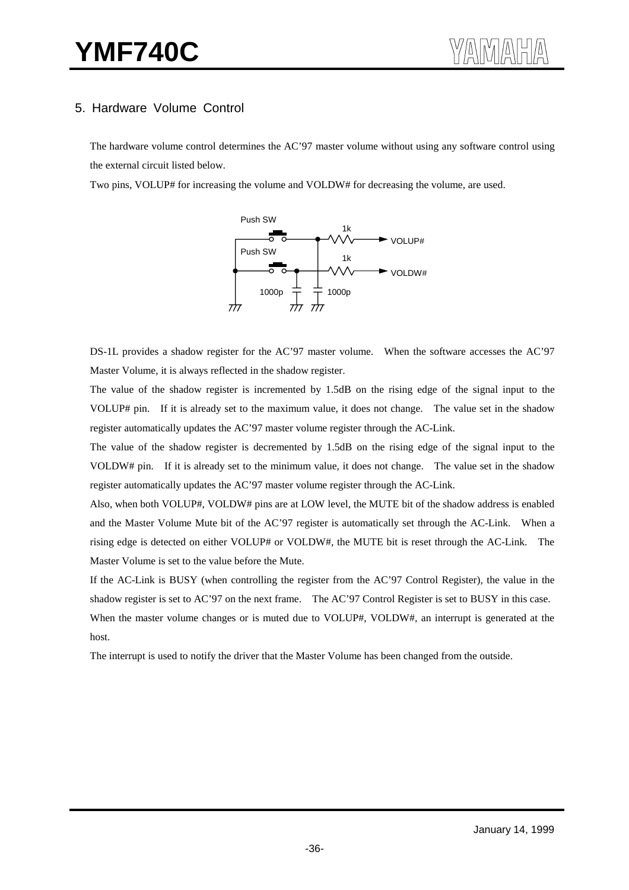# 5. Hardware Volume Control

The hardware volume control determines the AC'97 master volume without using any software control using the external circuit listed below.

Two pins, VOLUP# for increasing the volume and VOLDW# for decreasing the volume, are used.



DS-1L provides a shadow register for the AC'97 master volume. When the software accesses the AC'97 Master Volume, it is always reflected in the shadow register.

The value of the shadow register is incremented by 1.5dB on the rising edge of the signal input to the VOLUP# pin. If it is already set to the maximum value, it does not change. The value set in the shadow register automatically updates the AC'97 master volume register through the AC-Link.

The value of the shadow register is decremented by 1.5dB on the rising edge of the signal input to the VOLDW# pin. If it is already set to the minimum value, it does not change. The value set in the shadow register automatically updates the AC'97 master volume register through the AC-Link.

Also, when both VOLUP#, VOLDW# pins are at LOW level, the MUTE bit of the shadow address is enabled and the Master Volume Mute bit of the AC'97 register is automatically set through the AC-Link. When a rising edge is detected on either VOLUP# or VOLDW#, the MUTE bit is reset through the AC-Link. The Master Volume is set to the value before the Mute.

If the AC-Link is BUSY (when controlling the register from the AC'97 Control Register), the value in the shadow register is set to AC'97 on the next frame. The AC'97 Control Register is set to BUSY in this case. When the master volume changes or is muted due to VOLUP#, VOLDW#, an interrupt is generated at the host.

The interrupt is used to notify the driver that the Master Volume has been changed from the outside.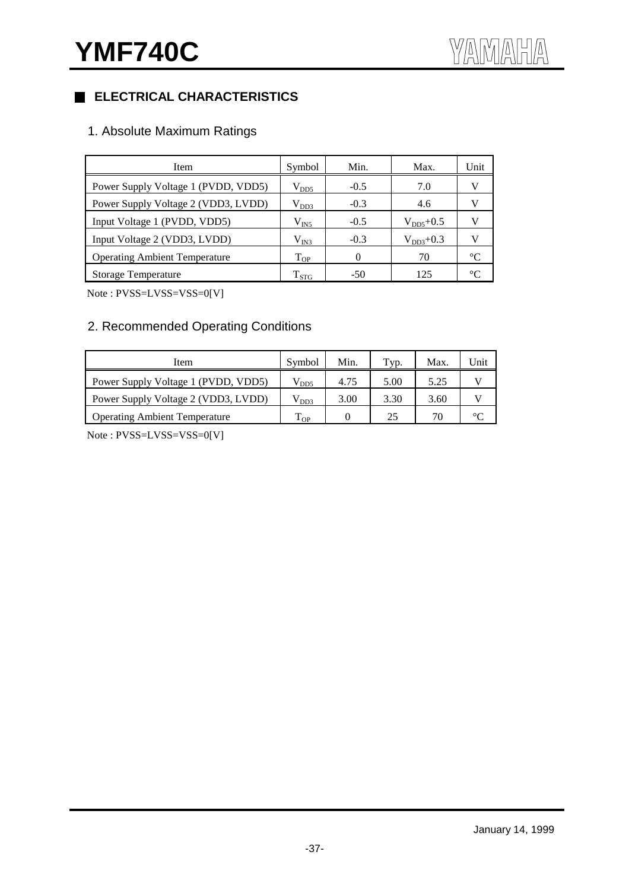# **ELECTRICAL CHARACTERISTICS**

# 1. Absolute Maximum Ratings

| Item                                 | Symbol        | Min.     | Max.          | Unit        |
|--------------------------------------|---------------|----------|---------------|-------------|
| Power Supply Voltage 1 (PVDD, VDD5)  | $\rm V_{DD5}$ | $-0.5$   | 7.0           | V           |
| Power Supply Voltage 2 (VDD3, LVDD)  | $\rm V_{DD3}$ | $-0.3$   | 4.6           | V           |
| Input Voltage 1 (PVDD, VDD5)         | $\rm V_{IN5}$ | $-0.5$   | $V_{DD5}+0.5$ | V           |
| Input Voltage 2 (VDD3, LVDD)         | $\rm V_{IN3}$ | $-0.3$   | $V_{DD3}+0.3$ | v           |
| <b>Operating Ambient Temperature</b> | $T_{OP}$      | $\Omega$ | 70            | $^{\circ}C$ |
| <b>Storage Temperature</b>           | $T_{STG}$     | $-50$    | 125           | $\circ$ C   |

Note : PVSS=LVSS=VSS=0[V]

# 2. Recommended Operating Conditions

| Item                                 | Symbol             | Min. | Typ. | Max. | Unit |
|--------------------------------------|--------------------|------|------|------|------|
| Power Supply Voltage 1 (PVDD, VDD5)  | $\rm V_{DD5}$      | 4.75 | 5.00 | 5.25 |      |
| Power Supply Voltage 2 (VDD3, LVDD)  | $\rm V_{DD3}$      | 3.00 | 3.30 | 3.60 |      |
| <b>Operating Ambient Temperature</b> | <u>т п</u><br>I OP |      | 25   | 70   |      |

Note : PVSS=LVSS=VSS=0[V]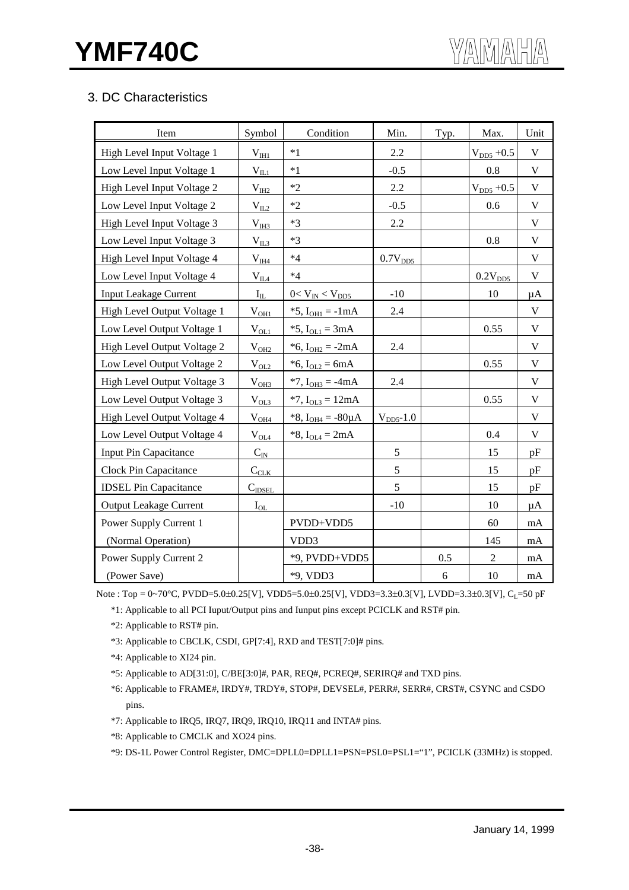# 3. DC Characteristics

| Item                          | Symbol                                | Condition                 | Min.                | Typ. | Max.            | Unit         |
|-------------------------------|---------------------------------------|---------------------------|---------------------|------|-----------------|--------------|
| High Level Input Voltage 1    | $V_{HH}$                              | $*1$                      | 2.2                 |      | $V_{DD5} + 0.5$ | $\mathbf V$  |
| Low Level Input Voltage 1     | $V_{IL1}$                             | $*1$                      | $-0.5$              |      | 0.8             | $\mathbf V$  |
| High Level Input Voltage 2    | $V_{III2}$                            | $*2$                      | 2.2                 |      | $V_{DD5} + 0.5$ | $\mathbf V$  |
| Low Level Input Voltage 2     | $V_{IL2}$                             | $*2$                      | $-0.5$              |      | 0.6             | $\mathbf V$  |
| High Level Input Voltage 3    | $V_{IH3}$                             | $*3$                      | 2.2                 |      |                 | $\mathbf{V}$ |
| Low Level Input Voltage 3     | $V_{II,3}$                            | $*3$                      |                     |      | 0.8             | $\mathbf V$  |
| High Level Input Voltage 4    | $\rm V_{\rm I\!H\!A}$                 | $*4$                      | 0.7V <sub>DD5</sub> |      |                 | $\mathbf V$  |
| Low Level Input Voltage 4     | $\rm V_{\underline{II}\underline{A}}$ | $*4$                      |                     |      | $0.2V_{DD5}$    | V            |
| <b>Input Leakage Current</b>  | $I_{IL}$                              | $0 < V_{IN} < V_{DD5}$    | $-10$               |      | 10              | $\mu A$      |
| High Level Output Voltage 1   | $V_{OH1}$                             | *5, $I_{OH1} = -1mA$      | 2.4                 |      |                 | $\mathbf V$  |
| Low Level Output Voltage 1    | $V_{OL1}$                             | *5, $I_{OL1} = 3mA$       |                     |      | 0.55            | $\mathbf V$  |
| High Level Output Voltage 2   | $V_{OH2}$                             | * $6, I_{OH2} = -2mA$     | 2.4                 |      |                 | $\mathbf V$  |
| Low Level Output Voltage 2    | $V_{OL2}$                             | *6, $I_{OL2} = 6mA$       |                     |      | 0.55            | $\mathbf V$  |
| High Level Output Voltage 3   | V <sub>OH3</sub>                      | $*7$ , $I_{OH3} = -4mA$   | 2.4                 |      |                 | $\mathbf V$  |
| Low Level Output Voltage 3    | $V_{OL3}$                             | $*7$ , $I_{OL3} = 12mA$   |                     |      | 0.55            | $\mathbf V$  |
| High Level Output Voltage 4   | $V_{OH4}$                             | *8, $I_{OH4} = -80 \mu A$ | $VDD5$ -1.0         |      |                 | $\mathbf V$  |
| Low Level Output Voltage 4    | $V_{OLA$                              | *8, $I_{OL4} = 2mA$       |                     |      | 0.4             | $\mathbf V$  |
| Input Pin Capacitance         | $C_{I\underline{N}}$                  |                           | 5                   |      | 15              | pF           |
| Clock Pin Capacitance         | $C_{CLK}$                             |                           | 5                   |      | 15              | pF           |
| <b>IDSEL Pin Capacitance</b>  | $C_{\text{IDSEL}}$                    |                           | 5                   |      | 15              | pF           |
| <b>Output Leakage Current</b> | $I_{OL}$                              |                           | $-10$               |      | 10              | μA           |
| Power Supply Current 1        |                                       | PVDD+VDD5                 |                     |      | 60              | mA           |
| (Normal Operation)            |                                       | VDD3                      |                     |      | 145             | $\rm mA$     |
| Power Supply Current 2        |                                       | *9, PVDD+VDD5             |                     | 0.5  | $\overline{2}$  | mA           |
| (Power Save)                  |                                       | *9, VDD3                  |                     | 6    | 10              | mA           |

Note : Top =  $0\neg 70^{\circ}$ C, PVDD=5.0±0.25[V], VDD5=5.0±0.25[V], VDD3=3.3±0.3[V], LVDD=3.3±0.3[V], C<sub>L</sub>=50 pF

\*1: Applicable to all PCI Iuput/Output pins and Iunput pins except PCICLK and RST# pin.

\*2: Applicable to RST# pin.

- \*3: Applicable to CBCLK, CSDI, GP[7:4], RXD and TEST[7:0]# pins.
- \*4: Applicable to XI24 pin.
- \*5: Applicable to AD[31:0], C/BE[3:0]#, PAR, REQ#, PCREQ#, SERIRQ# and TXD pins.
- \*6: Applicable to FRAME#, IRDY#, TRDY#, STOP#, DEVSEL#, PERR#, SERR#, CRST#, CSYNC and CSDO pins.
- \*7: Applicable to IRQ5, IRQ7, IRQ9, IRQ10, IRQ11 and INTA# pins.
- \*8: Applicable to CMCLK and XO24 pins.
- \*9: DS-1L Power Control Register, DMC=DPLL0=DPLL1=PSN=PSL0=PSL1="1", PCICLK (33MHz) is stopped.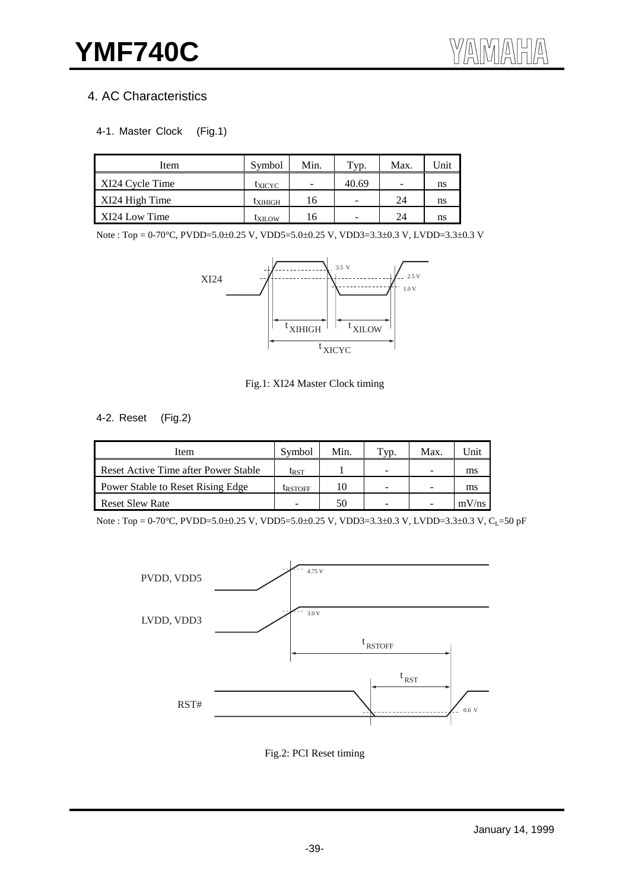# 4. AC Characteristics

#### 4-1. Master Clock (Fig.1)

| Item            | Symbol         | Min. | Typ.                     | Max.                     | Jnit <sup>-</sup> |
|-----------------|----------------|------|--------------------------|--------------------------|-------------------|
| XI24 Cycle Time | <b>L</b> XICYC | -    | 40.69                    | $\overline{\phantom{0}}$ | ns                |
| XI24 High Time  | <b>LXIHIGH</b> | 16   | $\overline{\phantom{a}}$ | 24                       | ns                |
| XI24 Low Time   | <b>LXILOW</b>  | 16   | $\overline{\phantom{a}}$ | 24                       | ns                |

Note : Top = 0-70°C, PVDD=5.0±0.25 V, VDD5=5.0±0.25 V, VDD3=3.3±0.3 V, LVDD=3.3±0.3 V



#### Fig.1: XI24 Master Clock timing

#### 4-2. Reset (Fig.2)

| Item                                 | Symbol         | Min. | VD. | Max. | ' Jnit |
|--------------------------------------|----------------|------|-----|------|--------|
| Reset Active Time after Power Stable | <b>L</b> RST   |      | -   | -    | ms     |
| Power Stable to Reset Rising Edge    | <b>LRSTOFF</b> | 10   | -   | -    | ms     |
| <b>Reset Slew Rate</b>               |                | 50   |     |      | mV/ns  |

Note : Top = 0-70°C, PVDD=5.0±0.25 V, VDD5=5.0±0.25 V, VDD3=3.3±0.3 V, LVDD=3.3±0.3 V, C<sub>L</sub>=50 pF



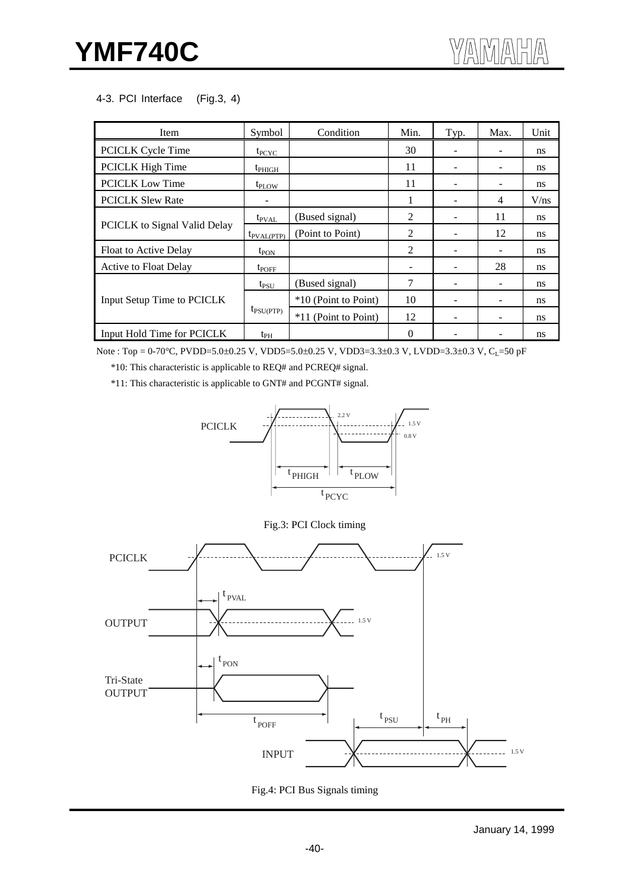#### 4-3. PCI Interface (Fig.3, 4)

| Item                         | Symbol                 | Condition            | Min.     | Typ. | Max. | Unit          |
|------------------------------|------------------------|----------------------|----------|------|------|---------------|
| <b>PCICLK Cycle Time</b>     | $t_{PCYC}$             |                      | 30       |      |      | <sub>ns</sub> |
| PCICLK High Time             | $t_{PHIGH}$            |                      | 11       |      |      | ns            |
| <b>PCICLK Low Time</b>       | t <sub>PLOW</sub>      |                      | 11       |      |      | <sub>ns</sub> |
| <b>PCICLK Slew Rate</b>      |                        |                      |          |      | 4    | V/ns          |
| PCICLK to Signal Valid Delay | $t_{\text{PVAL}}$      | (Bused signal)       | 2        |      | 11   | <sub>ns</sub> |
|                              | $t_{\text{PVAL(PTP)}}$ | (Point to Point)     | 2        |      | 12   | ns            |
| Float to Active Delay        | $t_{PON}$              |                      | 2        |      |      | <sub>ns</sub> |
| <b>Active to Float Delay</b> | $t_{POFF}$             |                      |          |      | 28   | ns            |
| Input Setup Time to PCICLK   | $t_{PSU}$              | (Bused signal)       | 7        |      |      | <sub>ns</sub> |
|                              | $t_{\text{PSU(PTP)}}$  | *10 (Point to Point) | 10       |      |      | ns            |
|                              |                        | *11 (Point to Point) | 12       |      |      | <sub>ns</sub> |
| Input Hold Time for PCICLK   | $t_{PH}$               |                      | $\Omega$ |      |      | ns            |

Note : Top = 0-70°C, PVDD=5.0±0.25 V, VDD5=5.0±0.25 V, VDD3=3.3±0.3 V, LVDD=3.3±0.3 V, CL=50 pF

\*10: This characteristic is applicable to REQ# and PCREQ# signal.

\*11: This characteristic is applicable to GNT# and PCGNT# signal.







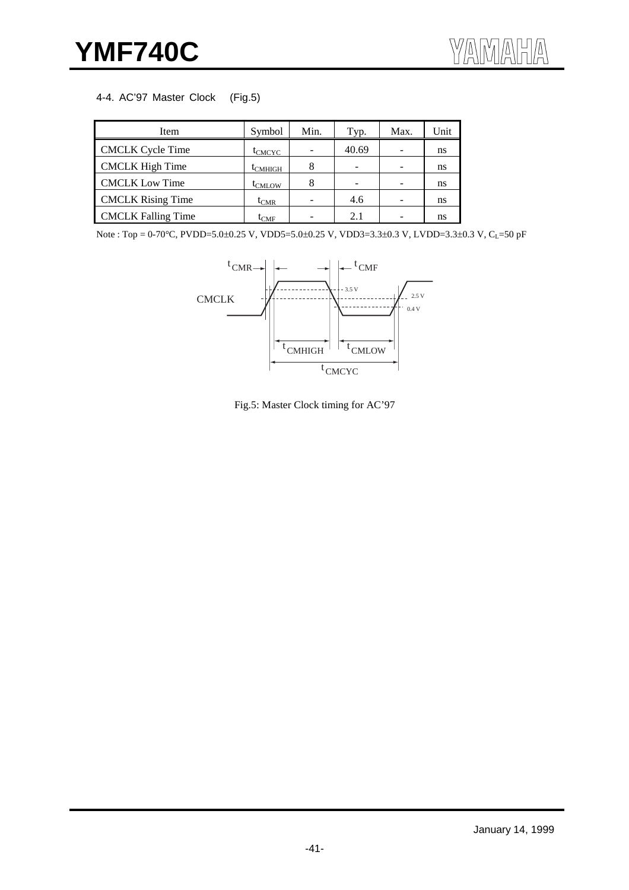#### 4-4. AC'97 Master Clock (Fig.5)

| Item                      | Symbol             | Min. | Typ.  | Max. | Unit |
|---------------------------|--------------------|------|-------|------|------|
| <b>CMCLK Cycle Time</b>   | t <sub>CMCYC</sub> |      | 40.69 |      | ns   |
| <b>CMCLK</b> High Time    | <b>L</b> CMHIGH    |      |       |      | ns   |
| <b>CMCLK Low Time</b>     | <b>I</b> CMLOW     | 8    |       |      | ns   |
| <b>CMCLK Rising Time</b>  | $I_{CMR}$          |      | 4.6   |      | ns   |
| <b>CMCLK Falling Time</b> | $\iota_{\rm CMF}$  |      | 2.1   |      | ns   |

Note : Top = 0-70°C, PVDD=5.0±0.25 V, VDD5=5.0±0.25 V, VDD3=3.3±0.3 V, LVDD=3.3±0.3 V, C<sub>L</sub>=50 pF



Fig.5: Master Clock timing for AC'97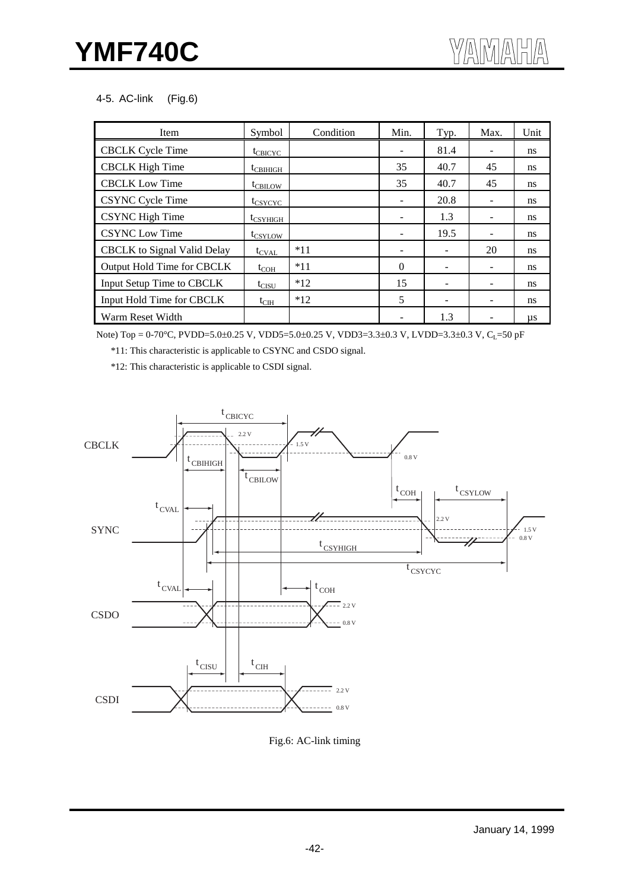#### 4-5. AC-link (Fig.6)

| Item                               | Symbol               | Condition | Min.                     | Typ. | Max. | Unit          |
|------------------------------------|----------------------|-----------|--------------------------|------|------|---------------|
| <b>CBCLK Cycle Time</b>            | $t_{CBICYC}$         |           |                          | 81.4 |      | ns            |
| <b>CBCLK</b> High Time             | $t_{\text{CBIHIGH}}$ |           | 35                       | 40.7 | 45   | ns            |
| <b>CBCLK</b> Low Time              | t <sub>CBILOW</sub>  |           | 35                       | 40.7 | 45   | ns            |
| <b>CSYNC Cycle Time</b>            | t <sub>CSYCYC</sub>  |           |                          | 20.8 |      | ns            |
| <b>CSYNC</b> High Time             | $t_{CSYHIGH}$        |           |                          | 1.3  |      | ns            |
| <b>CSYNC Low Time</b>              | t <sub>CSYLOW</sub>  |           | $\overline{\phantom{m}}$ | 19.5 |      | <sub>ns</sub> |
| <b>CBCLK</b> to Signal Valid Delay | $t_{\text{CVAL}}$    | $*11$     | -                        |      | 20   | <sub>ns</sub> |
| Output Hold Time for CBCLK         | $t_{COH}$            | $*11$     | $\Omega$                 |      |      | <sub>ns</sub> |
| Input Setup Time to CBCLK          | $t_{CISU}$           | $*12$     | 15                       |      |      | ns            |
| Input Hold Time for CBCLK          | $t_{\text{CIH}}$     | $*12$     | 5                        |      |      | <sub>ns</sub> |
| Warm Reset Width                   |                      |           |                          | 1.3  |      | μs            |

Note) Top = 0-70°C, PVDD=5.0±0.25 V, VDD5=5.0±0.25 V, VDD3=3.3±0.3 V, LVDD=3.3±0.3 V, C<sub>L</sub>=50 pF

\*11: This characteristic is applicable to CSYNC and CSDO signal.

\*12: This characteristic is applicable to CSDI signal.



Fig.6: AC-link timing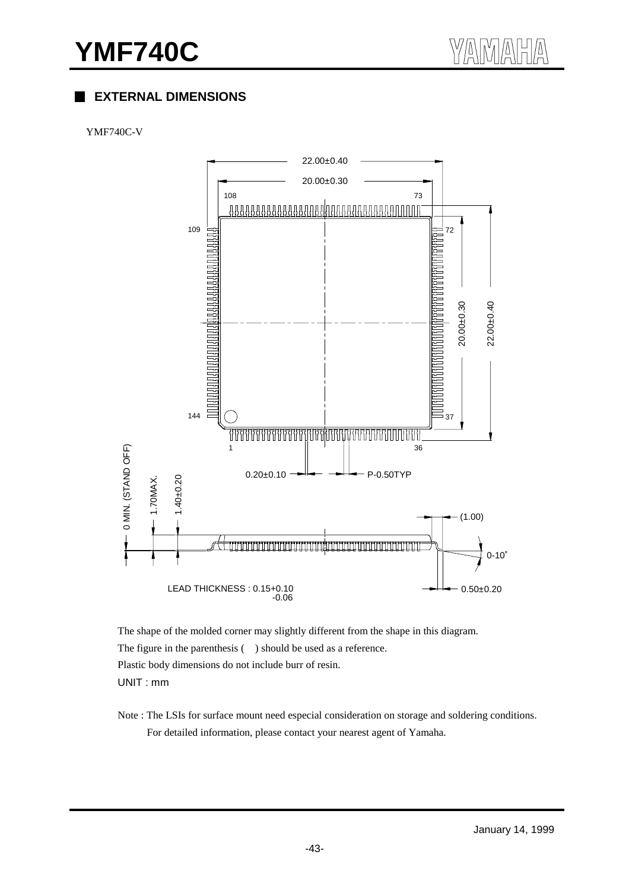# **EXTERNAL DIMENSIONS**

#### YMF740C-V



The shape of the molded corner may slightly different from the shape in this diagram. The figure in the parenthesis ( ) should be used as a reference. Plastic body dimensions do not include burr of resin. UNIT : mm

Note : The LSIs for surface mount need especial consideration on storage and soldering conditions. For detailed information, please contact your nearest agent of Yamaha.